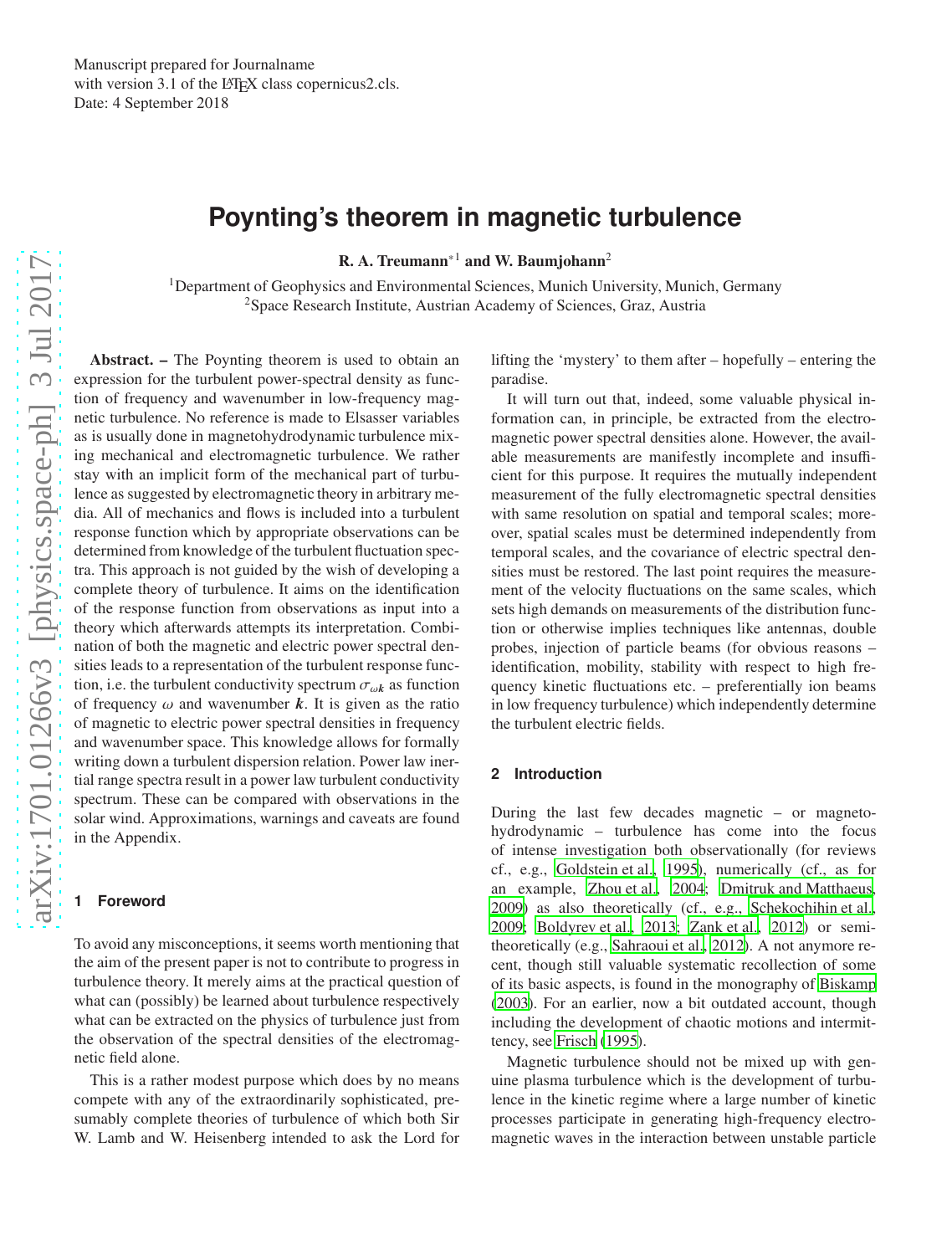# **Poynting's theorem in magnetic turbulence**

**R. A. Treumann**\*1 and W. Baumjohann<sup>2</sup>

<sup>1</sup>Department of Geophysics and Environmental Sciences, Munich University, Munich, Germany <sup>2</sup>Space Research Institute, Austrian Academy of Sciences, Graz, Austria

Abstract. – The Poynting theorem is used to obtain an expression for the turbulent power-spectral density as function of frequency and wavenumber in low-frequency magnetic turbulence. No reference is made to Elsasser variables as is usually done in magnetohydrodynamic turbulence mixing mechanical and electromagnetic turbulence. We rather stay with an implicit form of the mechanical part of turbulence as suggested by electromagnetic theory in arbitrary media. All of mechanics and flows is included into a turbulent response function which by appropriate observations can be determined from knowledge of the turbulent fluctuation spectra. This approach is not guided by the wish of developing a complete theory of turbulence. It aims on the identification of the response function from observations as input into a theory which afterwards attempts its interpretation. Combination of both the magnetic and electric power spectral densities leads to a representation of the turbulent response function, i.e. the turbulent conductivity spectrum  $\sigma_{\omega k}$  as function of frequency  $\omega$  and wavenumber  $k$ . It is given as the ratio of magnetic to electric power spectral densities in frequency and wavenumber space. This knowledge allows for formally writing down a turbulent dispersion relation. Power law inertial range spectra result in a power law turbulent conductivity spectrum. These can be compared with observations in the solar wind. Approximations, warnings and caveats are found in the Appendix.

# **1 Foreword**

To avoid any misconceptions, it seems worth mentioning that the aim of the present paper is not to contribute to progress in turbulence theory. It merely aims at the practical question of what can (possibly) be learned about turbulence respectively what can be extracted on the physics of turbulence just from the observation of the spectral densities of the electromagnetic field alone.

This is a rather modest purpose which does by no means compete with any of the extraordinarily sophisticated, presumably complete theories of turbulence of which both Sir W. Lamb and W. Heisenberg intended to ask the Lord for lifting the 'mystery' to them after – hopefully – entering the paradise.

It will turn out that, indeed, some valuable physical information can, in principle, be extracted from the electromagnetic power spectral densities alone. However, the available measurements are manifestly incomplete and insufficient for this purpose. It requires the mutually independent measurement of the fully electromagnetic spectral densities with same resolution on spatial and temporal scales; moreover, spatial scales must be determined independently from temporal scales, and the covariance of electric spectral densities must be restored. The last point requires the measurement of the velocity fluctuations on the same scales, which sets high demands on measurements of the distribution function or otherwise implies techniques like antennas, double probes, injection of particle beams (for obvious reasons – identification, mobility, stability with respect to high frequency kinetic fluctuations etc. – preferentially ion beams in low frequency turbulence) which independently determine the turbulent electric fields.

# **2 Introduction**

During the last few decades magnetic – or magnetohydrodynamic – turbulence has come into the focus of intense investigation both observationally (for reviews cf., e.g., [Goldstein et al., 1995\)](#page-17-0), numerically (cf., as for an example, [Zhou et al., 2004;](#page-17-1) [Dmitruk and Matthaeus,](#page-17-2) [2009](#page-17-2)) as also theoretically (cf., e.g., [Schekochihin et al.,](#page-17-3) [2009](#page-17-3); [Boldyrev et al., 2013](#page-17-4); [Zank et al.](#page-17-5), [2012\)](#page-17-5) or semitheoretically (e.g., [Sahraoui et al.](#page-17-6), [2012\)](#page-17-6). A not anymore recent, though still valuable systematic recollection of some of its basic aspects, is found in the monography of [Biskamp](#page-17-7) [\(2003\)](#page-17-7). For an earlier, now a bit outdated account, though including the development of chaotic motions and intermittency, see [Frisch \(1995\)](#page-17-8).

Magnetic turbulence should not be mixed up with genuine plasma turbulence which is the development of turbulence in the kinetic regime where a large number of kinetic processes participate in generating high-frequency electromagnetic waves in the interaction between unstable particle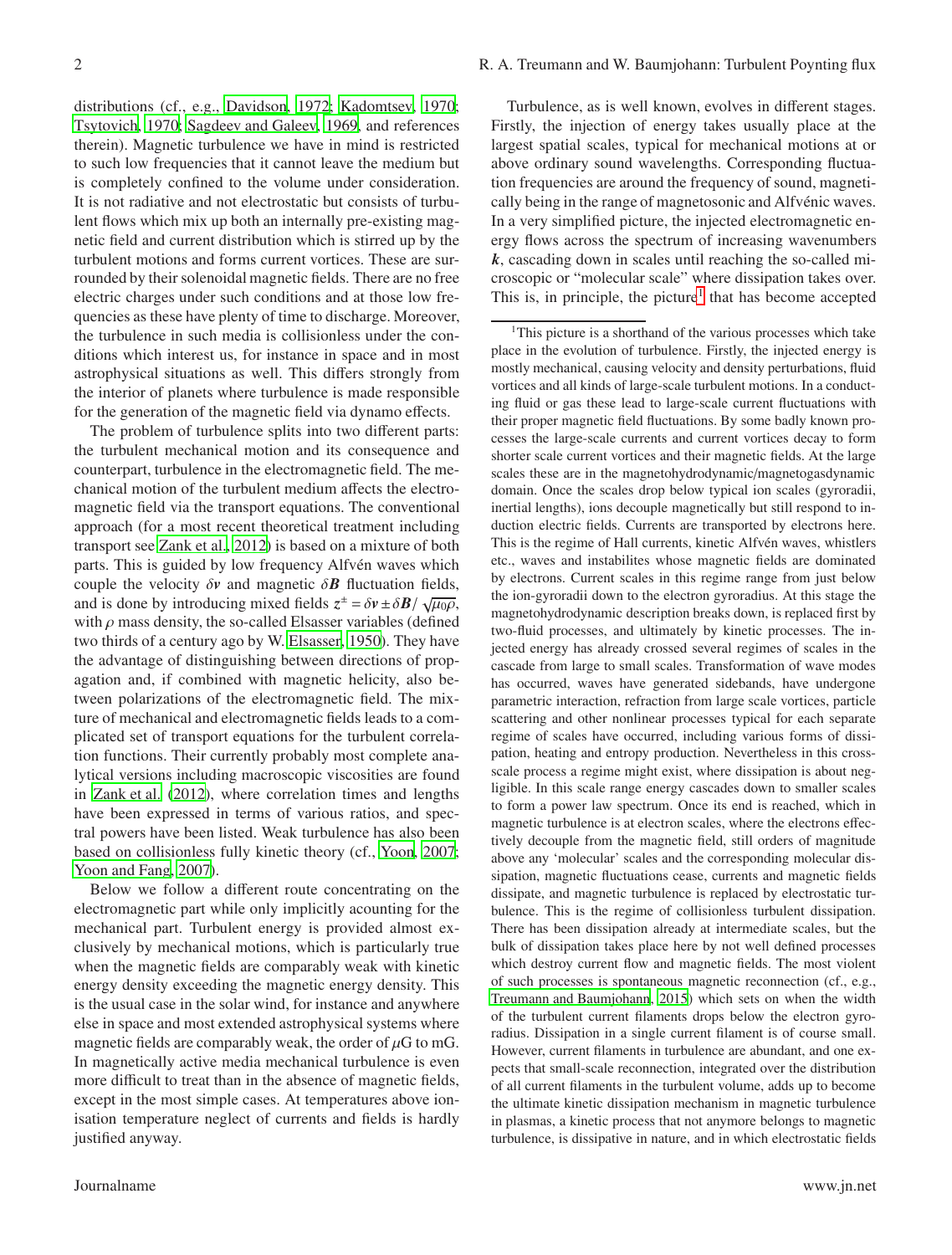distributions (cf., e.g., [Davidson, 1972](#page-17-9); [Kadomtsev](#page-17-10), [1970;](#page-17-10) [Tsytovich](#page-17-11), [1970;](#page-17-11) [Sagdeev and Galeev](#page-17-12), [1969,](#page-17-12) and references therein). Magnetic turbulence we have in mind is restricted to such low frequencies that it cannot leave the medium but is completely confined to the volume under consideration. It is not radiative and not electrostatic but consists of turbulent flows which mix up both an internally pre-existing magnetic field and current distribution which is stirred up by the turbulent motions and forms current vortices. These are surrounded by their solenoidal magnetic fields. There are no free electric charges under such conditions and at those low frequencies as these have plenty of time to discharge. Moreover, the turbulence in such media is collisionless under the conditions which interest us, for instance in space and in most astrophysical situations as well. This differs strongly from the interior of planets where turbulence is made responsible for the generation of the magnetic field via dynamo effects.

The problem of turbulence splits into two different parts: the turbulent mechanical motion and its consequence and counterpart, turbulence in the electromagnetic field. The mechanical motion of the turbulent medium affects the electromagnetic field via the transport equations. The conventional approach (for a most recent theoretical treatment including transport see [Zank et al., 2012\)](#page-17-5) is based on a mixture of both parts. This is guided by low frequency Alfvén waves which couple the velocity  $\delta v$  and magnetic  $\delta B$  fluctuation fields, and is done by introducing mixed fields  $z^{\pm} = \delta v \pm \delta B / \sqrt{\mu_0 \rho}$ , with  $\rho$  mass density, the so-called Elsasser variables (defined two thirds of a century ago by W. [Elsasser](#page-17-13), [1950](#page-17-13)). They have the advantage of distinguishing between directions of propagation and, if combined with magnetic helicity, also between polarizations of the electromagnetic field. The mixture of mechanical and electromagnetic fields leads to a complicated set of transport equations for the turbulent correlation functions. Their currently probably most complete analytical versions including macroscopic viscosities are found in [Zank et al. \(2012\)](#page-17-5), where correlation times and lengths have been expressed in terms of various ratios, and spectral powers have been listed. Weak turbulence has also been based on collisionless fully kinetic theory (cf., [Yoon](#page-17-14), [2007;](#page-17-14) [Yoon and Fang, 2007\)](#page-17-15).

Below we follow a different route concentrating on the electromagnetic part while only implicitly acounting for the mechanical part. Turbulent energy is provided almost exclusively by mechanical motions, which is particularly true when the magnetic fields are comparably weak with kinetic energy density exceeding the magnetic energy density. This is the usual case in the solar wind, for instance and anywhere else in space and most extended astrophysical systems where magnetic fields are comparably weak, the order of  $\mu$ G to mG. In magnetically active media mechanical turbulence is even more difficult to treat than in the absence of magnetic fields, except in the most simple cases. At temperatures above ionisation temperature neglect of currents and fields is hardly justified anyway.

Turbulence, as is well known, evolves in different stages. Firstly, the injection of energy takes usually place at the largest spatial scales, typical for mechanical motions at or above ordinary sound wavelengths. Corresponding fluctuation frequencies are around the frequency of sound, magnetically being in the range of magnetosonic and Alfvénic waves. In a very simplified picture, the injected electromagnetic energy flows across the spectrum of increasing wavenumbers *k*, cascading down in scales until reaching the so-called microscopic or "molecular scale" where dissipation takes over. This is, in principle, the picture<sup>[1](#page-1-0)</sup> that has become accepted

<span id="page-1-0"></span><sup>1</sup>This picture is a shorthand of the various processes which take place in the evolution of turbulence. Firstly, the injected energy is mostly mechanical, causing velocity and density perturbations, fluid vortices and all kinds of large-scale turbulent motions. In a conducting fluid or gas these lead to large-scale current fluctuations with their proper magnetic field fluctuations. By some badly known processes the large-scale currents and current vortices decay to form shorter scale current vortices and their magnetic fields. At the large scales these are in the magnetohydrodynamic/magnetogasdynamic domain. Once the scales drop below typical ion scales (gyroradii, inertial lengths), ions decouple magnetically but still respond to induction electric fields. Currents are transported by electrons here. This is the regime of Hall currents, kinetic Alfvén waves, whistlers etc., waves and instabilites whose magnetic fields are dominated by electrons. Current scales in this regime range from just below the ion-gyroradii down to the electron gyroradius. At this stage the magnetohydrodynamic description breaks down, is replaced first by two-fluid processes, and ultimately by kinetic processes. The injected energy has already crossed several regimes of scales in the cascade from large to small scales. Transformation of wave modes has occurred, waves have generated sidebands, have undergone parametric interaction, refraction from large scale vortices, particle scattering and other nonlinear processes typical for each separate regime of scales have occurred, including various forms of dissipation, heating and entropy production. Nevertheless in this crossscale process a regime might exist, where dissipation is about negligible. In this scale range energy cascades down to smaller scales to form a power law spectrum. Once its end is reached, which in magnetic turbulence is at electron scales, where the electrons effectively decouple from the magnetic field, still orders of magnitude above any 'molecular' scales and the corresponding molecular dissipation, magnetic fluctuations cease, currents and magnetic fields dissipate, and magnetic turbulence is replaced by electrostatic turbulence. This is the regime of collisionless turbulent dissipation. There has been dissipation already at intermediate scales, but the bulk of dissipation takes place here by not well defined processes which destroy current flow and magnetic fields. The most violent of such processes is spontaneous magnetic reconnection (cf., e.g., [Treumann and Baumjohann](#page-17-16), [2015](#page-17-16)) which sets on when the width of the turbulent current filaments drops below the electron gyroradius. Dissipation in a single current filament is of course small. However, current filaments in turbulence are abundant, and one expects that small-scale reconnection, integrated over the distribution of all current filaments in the turbulent volume, adds up to become the ultimate kinetic dissipation mechanism in magnetic turbulence in plasmas, a kinetic process that not anymore belongs to magnetic turbulence, is dissipative in nature, and in which electrostatic fields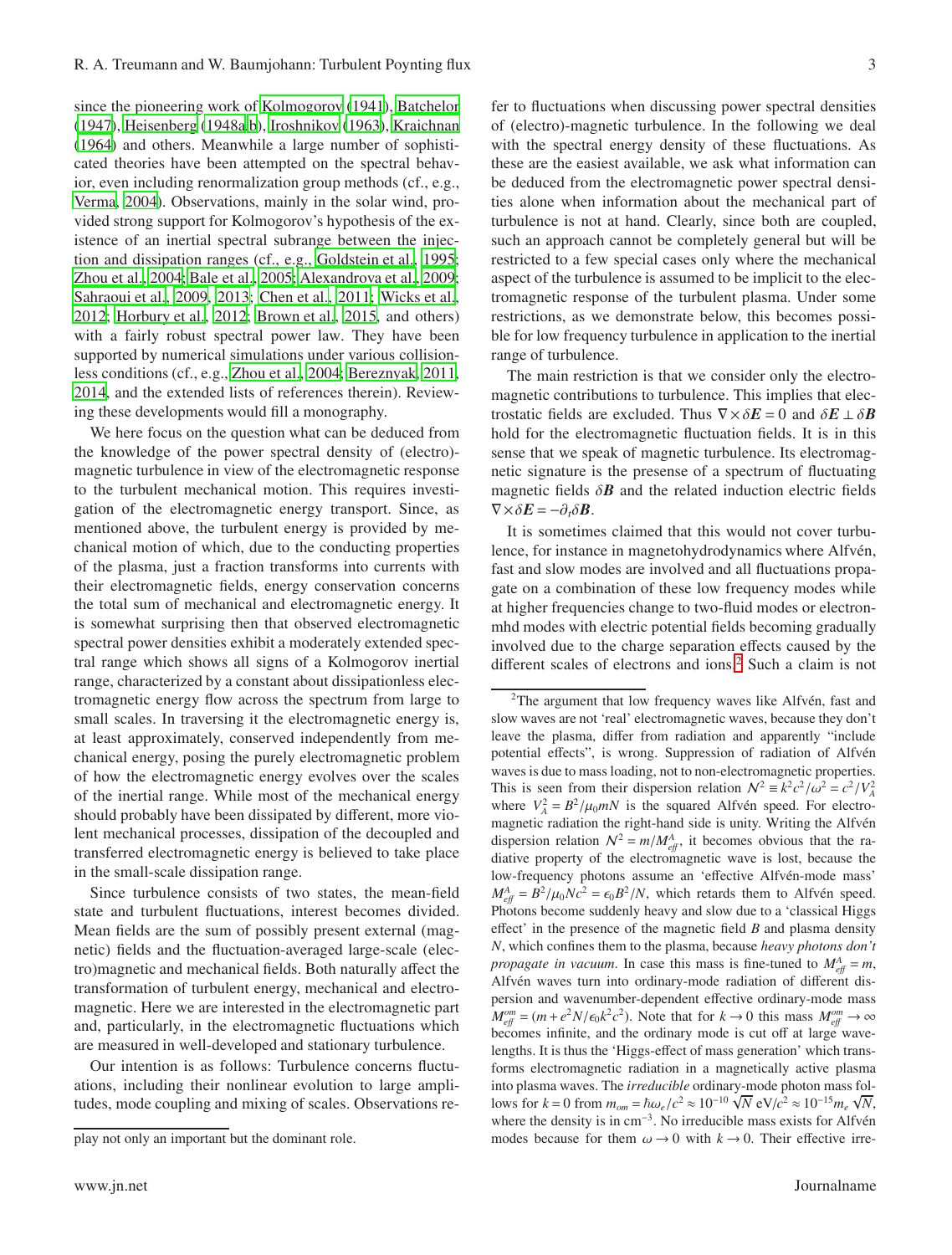since the pioneering work of [Kolmogorov \(1941](#page-17-17)), [Batchelor](#page-16-0) [\(1947\)](#page-16-0), [Heisenberg \(1948a](#page-17-18)[,b\)](#page-17-19), [Iroshnikov](#page-17-20) [\(1963\)](#page-17-20), [Kraichnan](#page-17-21) [\(1964\)](#page-17-21) and others. Meanwhile a large number of sophisticated theories have been attempted on the spectral behavior, even including renormalization group methods (cf., e.g., [Verma, 2004](#page-17-22)). Observations, mainly in the solar wind, provided strong support for Kolmogorov's hypothesis of the existence of an inertial spectral subrange between the injection and dissipation ranges (cf., e.g., [Goldstein et al., 1995;](#page-17-0) [Zhou et al.](#page-17-1), [2004;](#page-17-1) [Bale et al., 2005;](#page-16-1) [Alexandrova et al.](#page-16-2), [2009;](#page-16-2) [Sahraoui et al., 2009,](#page-17-23) [2013;](#page-17-24) [Chen et al.](#page-17-25), [2011;](#page-17-25) [Wicks et al.,](#page-17-26) [2012;](#page-17-26) [Horbury et al.](#page-17-27), [2012;](#page-17-27) [Brown et al., 2015,](#page-17-28) and others) with a fairly robust spectral power law. They have been supported by numerical simulations under various collisionless conditions (cf., e.g., [Zhou et al., 2004;](#page-17-1) [Bereznyak, 2011,](#page-16-3) [2014,](#page-16-4) and the extended lists of references therein). Reviewing these developments would fill a monography.

We here focus on the question what can be deduced from the knowledge of the power spectral density of (electro) magnetic turbulence in view of the electromagnetic response to the turbulent mechanical motion. This requires investigation of the electromagnetic energy transport. Since, as mentioned above, the turbulent energy is provided by mechanical motion of which, due to the conducting properties of the plasma, just a fraction transforms into currents with their electromagnetic fields, energy conservation concerns the total sum of mechanical and electromagnetic energy. It is somewhat surprising then that observed electromagnetic spectral power densities exhibit a moderately extended spectral range which shows all signs of a Kolmogorov inertial range, characterized by a constant about dissipationless electromagnetic energy flow across the spectrum from large to small scales. In traversing it the electromagnetic energy is, at least approximately, conserved independently from mechanical energy, posing the purely electromagnetic problem of how the electromagnetic energy evolves over the scales of the inertial range. While most of the mechanical energy should probably have been dissipated by different, more violent mechanical processes, dissipation of the decoupled and transferred electromagnetic energy is believed to take place in the small-scale dissipation range.

Since turbulence consists of two states, the mean-field state and turbulent fluctuations, interest becomes divided. Mean fields are the sum of possibly present external (magnetic) fields and the fluctuation-averaged large-scale (electro)magnetic and mechanical fields. Both naturally affect the transformation of turbulent energy, mechanical and electromagnetic. Here we are interested in the electromagnetic part and, particularly, in the electromagnetic fluctuations which are measured in well-developed and stationary turbulence.

Our intention is as follows: Turbulence concerns fluctuations, including their nonlinear evolution to large amplitudes, mode coupling and mixing of scales. Observations re-

fer to fluctuations when discussing power spectral densities of (electro)-magnetic turbulence. In the following we deal with the spectral energy density of these fluctuations. As these are the easiest available, we ask what information can be deduced from the electromagnetic power spectral densities alone when information about the mechanical part of turbulence is not at hand. Clearly, since both are coupled, such an approach cannot be completely general but will be restricted to a few special cases only where the mechanical aspect of the turbulence is assumed to be implicit to the electromagnetic response of the turbulent plasma. Under some restrictions, as we demonstrate below, this becomes possible for low frequency turbulence in application to the inertial

The main restriction is that we consider only the electromagnetic contributions to turbulence. This implies that electrostatic fields are excluded. Thus  $\nabla \times \delta E = 0$  and  $\delta E \perp \delta B$ hold for the electromagnetic fluctuation fields. It is in this sense that we speak of magnetic turbulence. Its electromagnetic signature is the presense of a spectrum of fluctuating magnetic fields  $\delta \mathbf{B}$  and the related induction electric fields  $\nabla \times \delta \mathbf{E} = -\partial_t \delta \mathbf{B}$ .

range of turbulence.

It is sometimes claimed that this would not cover turbulence, for instance in magnetohydrodynamics where Alfvén, fast and slow modes are involved and all fluctuations propagate on a combination of these low frequency modes while at higher frequencies change to two-fluid modes or electronmhd modes with electric potential fields becoming gradually involved due to the charge separation effects caused by the different scales of electrons and ions.<sup>[2](#page-2-0)</sup> Such a claim is not

play not only an important but the dominant role.

<span id="page-2-0"></span><sup>&</sup>lt;sup>2</sup>The argument that low frequency waves like Alfvén, fast and slow waves are not 'real' electromagnetic waves, because they don't leave the plasma, differ from radiation and apparently "include potential effects", is wrong. Suppression of radiation of Alfvén waves is due to mass loading, not to non-electromagnetic properties. This is seen from their dispersion relation  $N^2 = k^2 c^2 / \omega^2 = c^2 / V_A^2$ where  $V_A^2 = B^2/\mu_0 mN$  is the squared Alfvén speed. For electromagnetic radiation the right-hand side is unity. Writing the Alfvén dispersion relation  $N^2 = m/M_{eff}^A$ , it becomes obvious that the radiative property of the electromagnetic wave is lost, because the low-frequency photons assume an 'effective Alfvén-mode mass'  $M_{\text{eff}}^A = B^2/\mu_0 N c^2 = \epsilon_0 B^2/N$ , which retards them to Alfvén speed. Photons become suddenly heavy and slow due to a 'classical Higgs effect' in the presence of the magnetic field *B* and plasma density *N*, which confines them to the plasma, because *heavy photons don't propagate in vacuum*. In case this mass is fine-tuned to  $M_{\text{eff}}^A = m$ , Alfvén waves turn into ordinary-mode radiation of different dispersion and wavenumber-dependent effective ordinary-mode mass  $M_{\text{eff}}^{om} = (m + e^2 N / \epsilon_0 k^2 c^2)$ . Note that for  $k \to 0$  this mass  $M_{\text{eff}}^{om} \to \infty$ becomes infinite, and the ordinary mode is cut off at large wavelengths. It is thus the 'Higgs-effect of mass generation' which transforms electromagnetic radiation in a magnetically active plasma into plasma waves. The *irreducible* ordinary-mode photon mass follows for  $k = 0$  from  $m_{om} = \hbar \omega_e/c^2 \approx 10^{-10} \sqrt{N} eV/c^2 \approx 10^{-15} m_e \sqrt{N}$ , where the density is in cm<sup>-3</sup>. No irreducible mass exists for Alfvén modes because for them  $\omega \rightarrow 0$  with  $k \rightarrow 0$ . Their effective irre-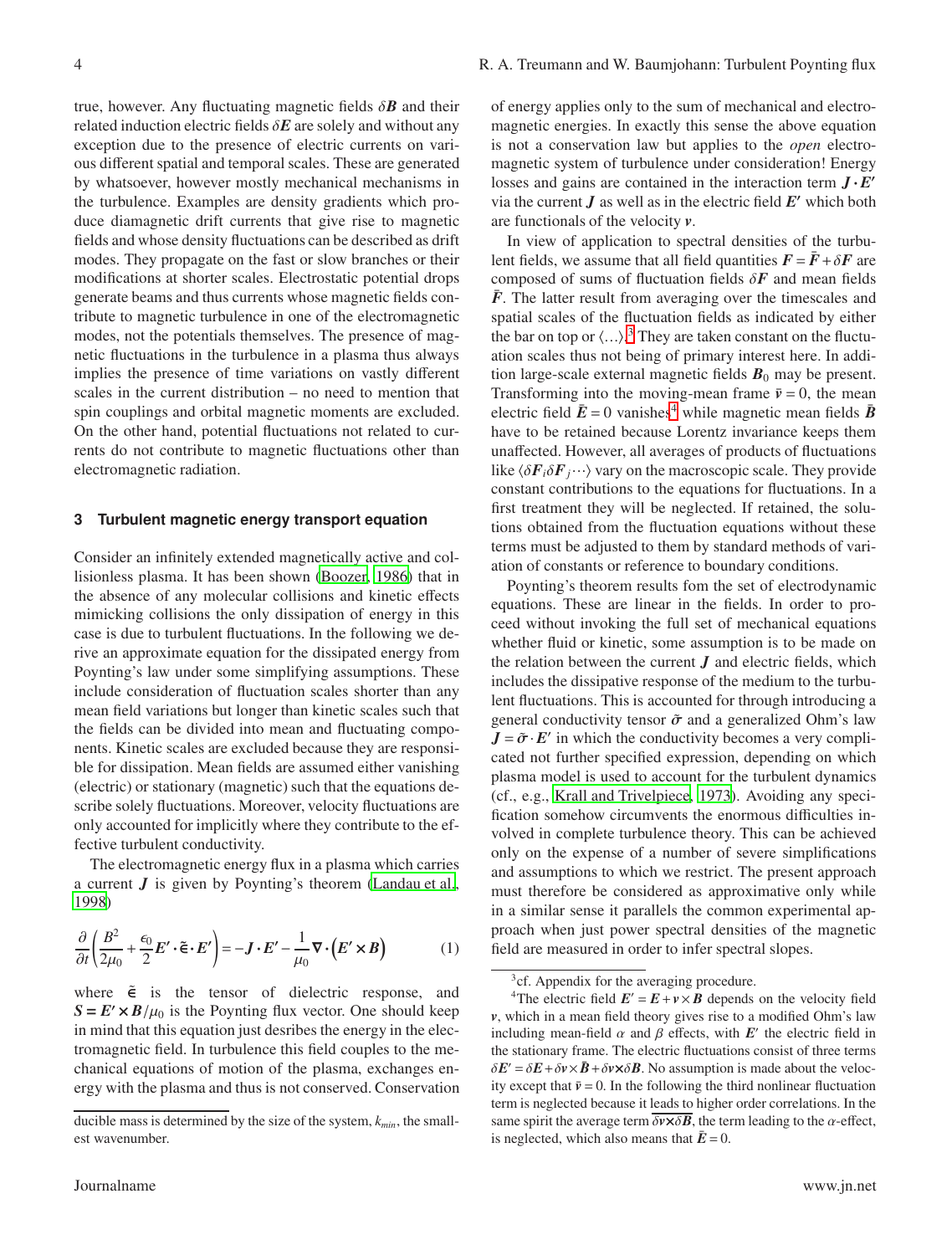true, however. Any fluctuating magnetic fields  $\delta \mathbf{B}$  and their related induction electric fields δ*E* are solely and without any exception due to the presence of electric currents on various different spatial and temporal scales. These are generated by whatsoever, however mostly mechanical mechanisms in the turbulence. Examples are density gradients which produce diamagnetic drift currents that give rise to magnetic fields and whose density fluctuations can be described as drift modes. They propagate on the fast or slow branches or their modifications at shorter scales. Electrostatic potential drops generate beams and thus currents whose magnetic fields contribute to magnetic turbulence in one of the electromagnetic modes, not the potentials themselves. The presence of magnetic fluctuations in the turbulence in a plasma thus always implies the presence of time variations on vastly different scales in the current distribution – no need to mention that spin couplings and orbital magnetic moments are excluded. On the other hand, potential fluctuations not related to currents do not contribute to magnetic fluctuations other than electromagnetic radiation.

## **3 Turbulent magnetic energy transport equation**

Consider an infinitely extended magnetically active and collisionless plasma. It has been shown [\(Boozer, 1986\)](#page-17-29) that in the absence of any molecular collisions and kinetic effects mimicking collisions the only dissipation of energy in this case is due to turbulent fluctuations. In the following we derive an approximate equation for the dissipated energy from Poynting's law under some simplifying assumptions. These include consideration of fluctuation scales shorter than any mean field variations but longer than kinetic scales such that the fields can be divided into mean and fluctuating components. Kinetic scales are excluded because they are responsible for dissipation. Mean fields are assumed either vanishing (electric) or stationary (magnetic) such that the equations describe solely fluctuations. Moreover, velocity fluctuations are only accounted for implicitly where they contribute to the effective turbulent conductivity.

The electromagnetic energy flux in a plasma which carries a current *J* is given by Poynting's theorem [\(Landau et al.](#page-17-30), [1998\)](#page-17-30)

<span id="page-3-2"></span>
$$
\frac{\partial}{\partial t} \left( \frac{B^2}{2\mu_0} + \frac{\epsilon_0}{2} E' \cdot \tilde{\epsilon} \cdot E' \right) = -J \cdot E' - \frac{1}{\mu_0} \nabla \cdot (E' \times B) \tag{1}
$$

where  $\tilde{\epsilon}$  is the tensor of dielectric response, and  $S = E' \times B / \mu_0$  is the Poynting flux vector. One should keep in mind that this equation just desribes the energy in the electromagnetic field. In turbulence this field couples to the mechanical equations of motion of the plasma, exchanges energy with the plasma and thus is not conserved. Conservation of energy applies only to the sum of mechanical and electromagnetic energies. In exactly this sense the above equation is not a conservation law but applies to the *open* electromagnetic system of turbulence under consideration! Energy losses and gains are contained in the interaction term  $J \cdot E'$ via the current  $J$  as well as in the electric field  $E'$  which both are functionals of the velocity *v*.

In view of application to spectral densities of the turbulent fields, we assume that all field quantities  $\vec{F} = \vec{F} + \delta \vec{F}$  are composed of sums of fluctuation fields δ*F* and mean fields  $\bar{F}$ . The latter result from averaging over the timescales and spatial scales of the fluctuation fields as indicated by either the bar on top or  $\langle ... \rangle$ .<sup>[3](#page-3-0)</sup> They are taken constant on the fluctuation scales thus not being of primary interest here. In addition large-scale external magnetic fields  $B_0$  may be present. Transforming into the moving-mean frame  $\bar{v} = 0$ , the mean electric field  $\bar{E} = 0$  vanishes<sup>[4](#page-3-1)</sup> while magnetic mean fields  $\bar{B}$ have to be retained because Lorentz invariance keeps them unaffected. However, all averages of products of fluctuations like  $\langle \delta F_i \delta F_j \cdots \rangle$  vary on the macroscopic scale. They provide constant contributions to the equations for fluctuations. In a first treatment they will be neglected. If retained, the solutions obtained from the fluctuation equations without these terms must be adjusted to them by standard methods of variation of constants or reference to boundary conditions.

Poynting's theorem results fom the set of electrodynamic equations. These are linear in the fields. In order to proceed without invoking the full set of mechanical equations whether fluid or kinetic, some assumption is to be made on the relation between the current  $J$  and electric fields, which includes the dissipative response of the medium to the turbulent fluctuations. This is accounted for through introducing a general conductivity tensor  $\tilde{\sigma}$  and a generalized Ohm's law  $J = \tilde{\sigma} \cdot E'$  in which the conductivity becomes a very complicated not further specified expression, depending on which plasma model is used to account for the turbulent dynamics (cf., e.g., [Krall and Trivelpiece, 1973\)](#page-17-31). Avoiding any specification somehow circumvents the enormous difficulties involved in complete turbulence theory. This can be achieved only on the expense of a number of severe simplifications and assumptions to which we restrict. The present approach must therefore be considered as approximative only while in a similar sense it parallels the common experimental approach when just power spectral densities of the magnetic field are measured in order to infer spectral slopes.

ducible mass is determined by the size of the system, *kmin*, the smallest wavenumber.

<span id="page-3-0"></span><sup>&</sup>lt;sup>3</sup>cf. Appendix for the averaging procedure.

<span id="page-3-1"></span><sup>&</sup>lt;sup>4</sup>The electric field  $E' = E + v \times B$  depends on the velocity field *v*, which in a mean field theory gives rise to a modified Ohm's law including mean-field  $\alpha$  and  $\beta$  effects, with  $E'$  the electric field in the stationary frame. The electric fluctuations consist of three terms  $\delta E' = \delta E + \delta v \times \bar{B} + \delta v \times \delta B$ . No assumption is made about the velocity except that  $\bar{v} = 0$ . In the following the third nonlinear fluctuation term is neglected because it leads to higher order correlations. In the same spirit the average term  $\overline{\delta v \times \delta B}$ , the term leading to the  $\alpha$ -effect, is neglected, which also means that  $\bar{E} = 0$ .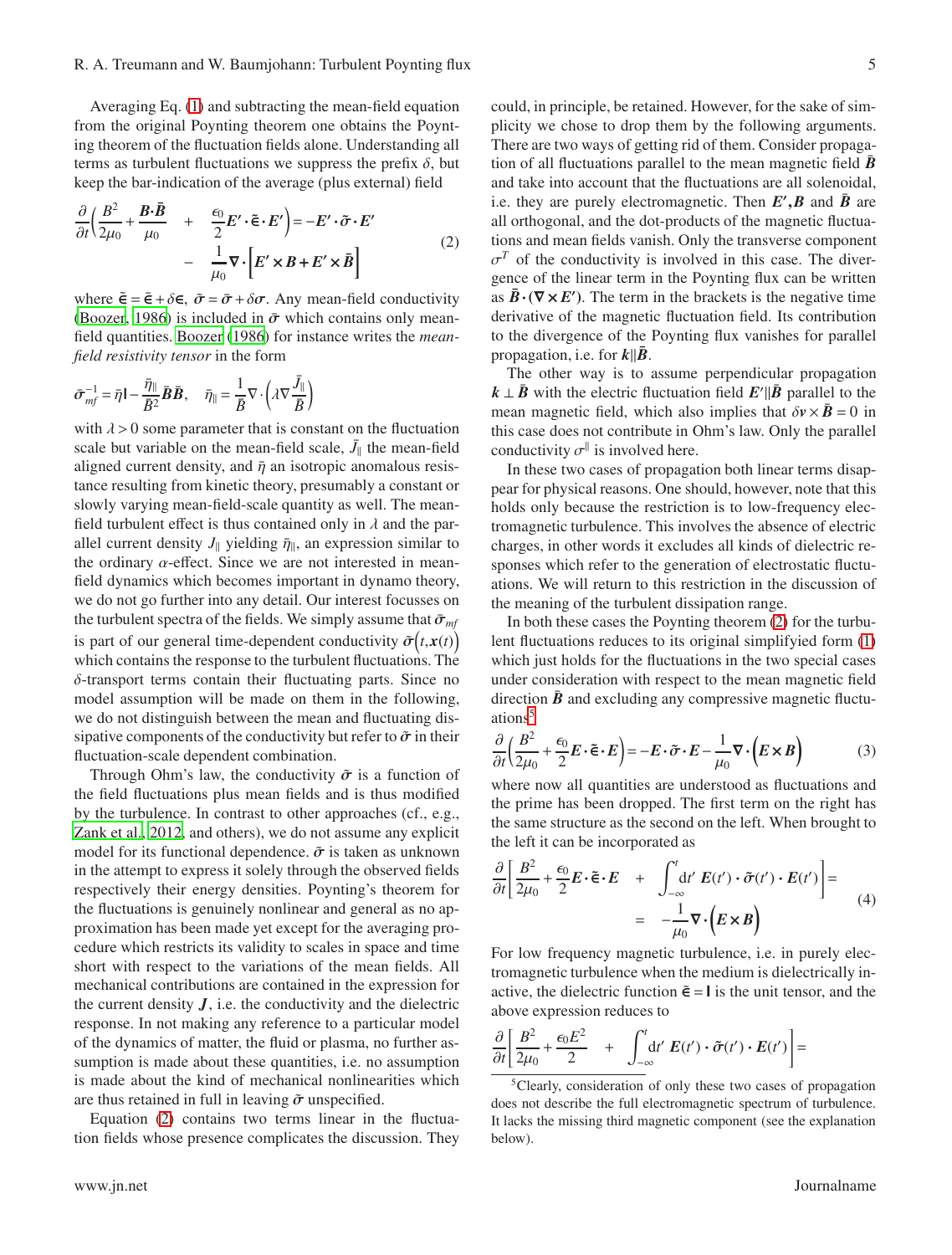Averaging Eq. [\(1\)](#page-3-2) and subtracting the mean-field equation from the original Poynting theorem one obtains the Poynting theorem of the fluctuation fields alone. Understanding all terms as turbulent fluctuations we suppress the prefix  $\delta$ , but keep the bar-indication of the average (plus external) field

<span id="page-4-0"></span>
$$
\frac{\partial}{\partial t} \left( \frac{B^2}{2\mu_0} + \frac{\mathbf{B} \cdot \mathbf{\bar{B}}}{\mu_0} + \frac{\epsilon_0}{2} \mathbf{E}' \cdot \tilde{\epsilon} \cdot \mathbf{E}' \right) = -\mathbf{E}' \cdot \tilde{\sigma} \cdot \mathbf{E}'
$$
\n
$$
- \frac{1}{\mu_0} \nabla \cdot \left[ \mathbf{E}' \times \mathbf{B} + \mathbf{E}' \times \mathbf{\bar{B}} \right]
$$
\n(2)

where  $\tilde{\mathbf{e}} = \bar{\mathbf{e}} + \delta \mathbf{\epsilon}$ ,  $\tilde{\sigma} = \bar{\sigma} + \delta \sigma$ . Any mean-field conductivity [\(Boozer, 1986](#page-17-29)) is included in  $\bar{\sigma}$  which contains only meanfield quantities. [Boozer \(1986\)](#page-17-29) for instance writes the *meanfield resistivity tensor* in the form

$$
\bar{\sigma}_{mf}^{-1} = \bar{\eta} \mathbf{I} - \frac{\bar{\eta}_{\parallel}}{\bar{B}^2} \bar{\mathbf{B}} \bar{\mathbf{B}}, \quad \bar{\eta}_{\parallel} = \frac{1}{\bar{B}} \nabla \cdot \left( \lambda \nabla \frac{\bar{J}_{\parallel}}{\bar{B}} \right)
$$

with  $\lambda > 0$  some parameter that is constant on the fluctuation scale but variable on the mean-field scale,  $\bar{J}_{\parallel}$  the mean-field aligned current density, and  $\bar{\eta}$  an isotropic anomalous resistance resulting from kinetic theory, presumably a constant or slowly varying mean-field-scale quantity as well. The meanfield turbulent effect is thus contained only in  $\lambda$  and the parallel current density  $J_{\parallel}$  yielding  $\bar{\eta}_{\parallel}$ , an expression similar to the ordinary  $\alpha$ -effect. Since we are not interested in meanfield dynamics which becomes important in dynamo theory, we do not go further into any detail. Our interest focusses on the turbulent spectra of the fields. We simply assume that  $\bar{\sigma}_{mf}$ is part of our general time-dependent conductivity  $\tilde{\sigma}(t, x(t))$ which contains the response to the turbulent fluctuations. The δ-transport terms contain their fluctuating parts. Since no model assumption will be made on them in the following, we do not distinguish between the mean and fluctuating dissipative components of the conductivity but refer to  $\tilde{\sigma}$  in their fluctuation-scale dependent combination.

Through Ohm's law, the conductivity  $\tilde{\sigma}$  is a function of the field fluctuations plus mean fields and is thus modified by the turbulence. In contrast to other approaches (cf., e.g., [Zank et al., 2012,](#page-17-5) and others), we do not assume any explicit model for its functional dependence.  $\tilde{\sigma}$  is taken as unknown in the attempt to express it solely through the observed fields respectively their energy densities. Poynting's theorem for the fluctuations is genuinely nonlinear and general as no approximation has been made yet except for the averaging procedure which restricts its validity to scales in space and time short with respect to the variations of the mean fields. All mechanical contributions are contained in the expression for the current density  $J$ , i.e. the conductivity and the dielectric response. In not making any reference to a particular model of the dynamics of matter, the fluid or plasma, no further assumption is made about these quantities, i.e. no assumption is made about the kind of mechanical nonlinearities which are thus retained in full in leaving  $\tilde{\sigma}$  unspecified.

Equation [\(2\)](#page-4-0) contains two terms linear in the fluctuation fields whose presence complicates the discussion. They could, in principle, be retained. However, for the sake of simplicity we chose to drop them by the following arguments. There are two ways of getting rid of them. Consider propagation of all fluctuations parallel to the mean magnetic field  $\bar{B}$ and take into account that the fluctuations are all solenoidal, i.e. they are purely electromagnetic. Then  $E'$ ,  $\overline{B}$  and  $\overline{B}$  are all orthogonal, and the dot-products of the magnetic fluctuations and mean fields vanish. Only the transverse component  $\sigma^T$  of the conductivity is involved in this case. The divergence of the linear term in the Poynting flux can be written as  $\bar{B} \cdot (\nabla \times E')$ . The term in the brackets is the negative time derivative of the magnetic fluctuation field. Its contribution to the divergence of the Poynting flux vanishes for parallel

The other way is to assume perpendicular propagation  $k \perp \bar{B}$  with the electric fluctuation field  $E'$  *B* parallel to the mean magnetic field, which also implies that  $\delta v \times \bar{B} = 0$  in this case does not contribute in Ohm's law. Only the parallel conductivity  $\sigma^{\parallel}$  is involved here.

propagation, i.e. for  $k||B$ .

In these two cases of propagation both linear terms disappear for physical reasons. One should, however, note that this holds only because the restriction is to low-frequency electromagnetic turbulence. This involves the absence of electric charges, in other words it excludes all kinds of dielectric responses which refer to the generation of electrostatic fluctuations. We will return to this restriction in the discussion of the meaning of the turbulent dissipation range.

In both these cases the Poynting theorem [\(2\)](#page-4-0) for the turbulent fluctuations reduces to its original simplifyied form [\(1\)](#page-3-2) which just holds for the fluctuations in the two special cases under consideration with respect to the mean magnetic field direction  $\bar{B}$  and excluding any compressive magnetic fluctuations[5](#page-4-1)

$$
\frac{\partial}{\partial t} \left( \frac{B^2}{2\mu_0} + \frac{\epsilon_0}{2} E \cdot \tilde{\mathbf{e}} \cdot E \right) = -E \cdot \tilde{\sigma} \cdot E - \frac{1}{\mu_0} \nabla \cdot \left( E \times B \right) \tag{3}
$$

where now all quantities are understood as fluctuations and the prime has been dropped. The first term on the right has the same structure as the second on the left. When brought to the left it can be incorporated as

$$
\frac{\partial}{\partial t} \left[ \frac{B^2}{2\mu_0} + \frac{\epsilon_0}{2} \mathbf{E} \cdot \tilde{\boldsymbol{\epsilon}} \cdot \mathbf{E} + \int_{-\infty}^t dt' \mathbf{E}(t') \cdot \tilde{\boldsymbol{\sigma}}(t') \cdot \mathbf{E}(t') \right] = -\frac{1}{\mu_0} \nabla \cdot (\mathbf{E} \times \mathbf{B})
$$
(4)

For low frequency magnetic turbulence, i.e. in purely electromagnetic turbulence when the medium is dielectrically inactive, the dielectric function  $\tilde{\epsilon} = I$  is the unit tensor, and the above expression reduces to

$$
\frac{\partial}{\partial t} \left[ \frac{B^2}{2\mu_0} + \frac{\epsilon_0 E^2}{2} + \int_{-\infty}^t dt' E(t') \cdot \tilde{\sigma}(t') \cdot E(t') \right] =
$$

<span id="page-4-1"></span><sup>5</sup>Clearly, consideration of only these two cases of propagation does not describe the full electromagnetic spectrum of turbulence. It lacks the missing third magnetic component (see the explanation below).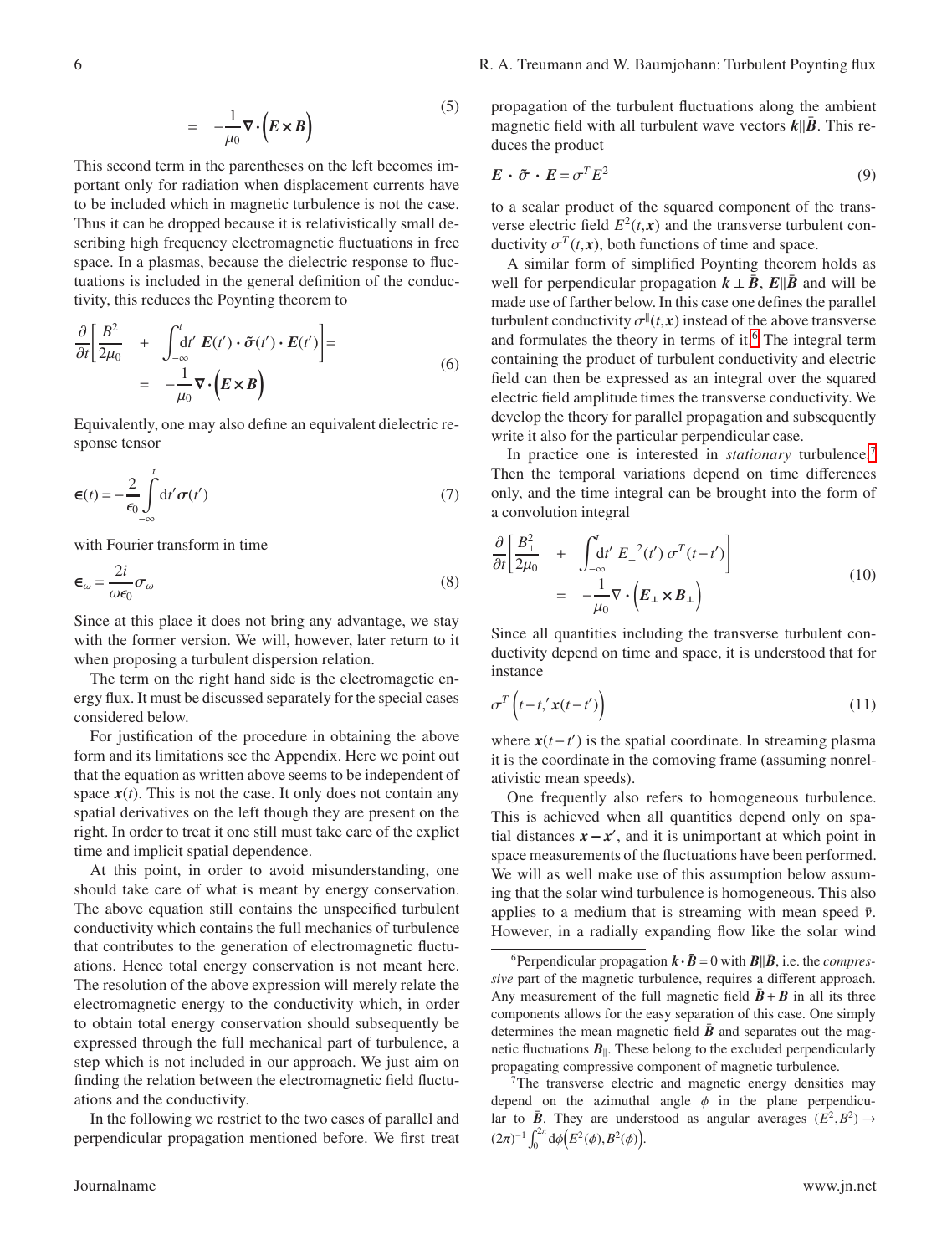$$
= -\frac{1}{\mu_0} \nabla \cdot \left( E \times B \right) \tag{5}
$$

This second term in the parentheses on the left becomes important only for radiation when displacement currents have to be included which in magnetic turbulence is not the case. Thus it can be dropped because it is relativistically small describing high frequency electromagnetic fluctuations in free space. In a plasmas, because the dielectric response to fluctuations is included in the general definition of the conductivity, this reduces the Poynting theorem to

$$
\frac{\partial}{\partial t} \left[ \frac{B^2}{2\mu_0} + \int_{-\infty}^t dt' E(t') \cdot \tilde{\sigma}(t') \cdot E(t') \right] =
$$
\n
$$
= -\frac{1}{\mu_0} \nabla \cdot (E \times B)
$$
\n(6)

Equivalently, one may also define an equivalent dielectric response tensor

$$
\mathbf{E}(t) = -\frac{2}{\epsilon_0} \int_{-\infty}^{t} \mathrm{d}t' \,\sigma(t')
$$
\n(7)

with Fourier transform in time

<span id="page-5-3"></span>
$$
\epsilon_{\omega} = \frac{2i}{\omega \epsilon_0} \sigma_{\omega} \tag{8}
$$

Since at this place it does not bring any advantage, we stay with the former version. We will, however, later return to it when proposing a turbulent dispersion relation.

The term on the right hand side is the electromagetic energy flux. It must be discussed separately for the special cases considered below.

For justification of the procedure in obtaining the above form and its limitations see the Appendix. Here we point out that the equation as written above seems to be independent of space  $x(t)$ . This is not the case. It only does not contain any spatial derivatives on the left though they are present on the right. In order to treat it one still must take care of the explict time and implicit spatial dependence.

At this point, in order to avoid misunderstanding, one should take care of what is meant by energy conservation. The above equation still contains the unspecified turbulent conductivity which contains the full mechanics of turbulence that contributes to the generation of electromagnetic fluctuations. Hence total energy conservation is not meant here. The resolution of the above expression will merely relate the electromagnetic energy to the conductivity which, in order to obtain total energy conservation should subsequently be expressed through the full mechanical part of turbulence, a step which is not included in our approach. We just aim on finding the relation between the electromagnetic field fluctuations and the conductivity.

In the following we restrict to the two cases of parallel and perpendicular propagation mentioned before. We first treat propagation of the turbulent fluctuations along the ambient magnetic field with all turbulent wave vectors  $k||\bar{B}$ . This reduces the product

$$
\mathbf{E} \cdot \tilde{\boldsymbol{\sigma}} \cdot \mathbf{E} = \sigma^T E^2 \tag{9}
$$

to a scalar product of the squared component of the transverse electric field  $E^2(t, x)$  and the transverse turbulent conductivity  $\sigma^T(t, x)$ , both functions of time and space.

A similar form of simplified Poynting theorem holds as well for perpendicular propagation  $k \perp \bar{B}$ ,  $E\parallel \bar{B}$  and will be made use of farther below. In this case one defines the parallel turbulent conductivity  $\sigma^{||}(t, x)$  instead of the above transverse and formulates the theory in terms of it.<sup>[6](#page-5-0)</sup> The integral term containing the product of turbulent conductivity and electric field can then be expressed as an integral over the squared electric field amplitude times the transverse conductivity. We develop the theory for parallel propagation and subsequently write it also for the particular perpendicular case.

In practice one is interested in *stationary* turbulence.<sup>[7](#page-5-1)</sup> Then the temporal variations depend on time differences only, and the time integral can be brought into the form of a convolution integral

<span id="page-5-2"></span>
$$
\frac{\partial}{\partial t} \left[ \frac{B_{\perp}^2}{2\mu_0} + \int_{-\infty}^t dt' E_{\perp}^2(t') \sigma^T(t-t') \right]
$$
\n
$$
= -\frac{1}{\mu_0} \nabla \cdot (E_{\perp} \times B_{\perp})
$$
\n(10)

Since all quantities including the transverse turbulent conductivity depend on time and space, it is understood that for instance

$$
\sigma^T \left( t - t, \mathbf{x}(t - t') \right) \tag{11}
$$

where  $x(t-t')$  is the spatial coordinate. In streaming plasma it is the coordinate in the comoving frame (assuming nonrelativistic mean speeds).

One frequently also refers to homogeneous turbulence. This is achieved when all quantities depend only on spatial distances  $x - x'$ , and it is unimportant at which point in space measurements of the fluctuations have been performed. We will as well make use of this assumption below assuming that the solar wind turbulence is homogeneous. This also applies to a medium that is streaming with mean speed  $\bar{v}$ . However, in a radially expanding flow like the solar wind

<span id="page-5-0"></span><sup>&</sup>lt;sup>6</sup> Perpendicular propagation  $\mathbf{k} \cdot \mathbf{\bar{B}} = 0$  with  $\mathbf{B} || \mathbf{\bar{B}}$ , i.e. the *compressive* part of the magnetic turbulence, requires a different approach. Any measurement of the full magnetic field  $\bar{B} + B$  in all its three components allows for the easy separation of this case. One simply determines the mean magnetic field  $\vec{B}$  and separates out the magnetic fluctuations  $B_{\parallel}$ . These belong to the excluded perpendicularly propagating compressive component of magnetic turbulence.

<span id="page-5-1"></span><sup>&</sup>lt;sup>7</sup>The transverse electric and magnetic energy densities may depend on the azimuthal angle  $\phi$  in the plane perpendicular to  $\bar{B}$ . They are understood as angular averages  $(E^2, B^2) \rightarrow$  $(2\pi)^{-1} \int_0^{2\pi} d\phi \Big( E^2(\phi), B^2(\phi) \Big).$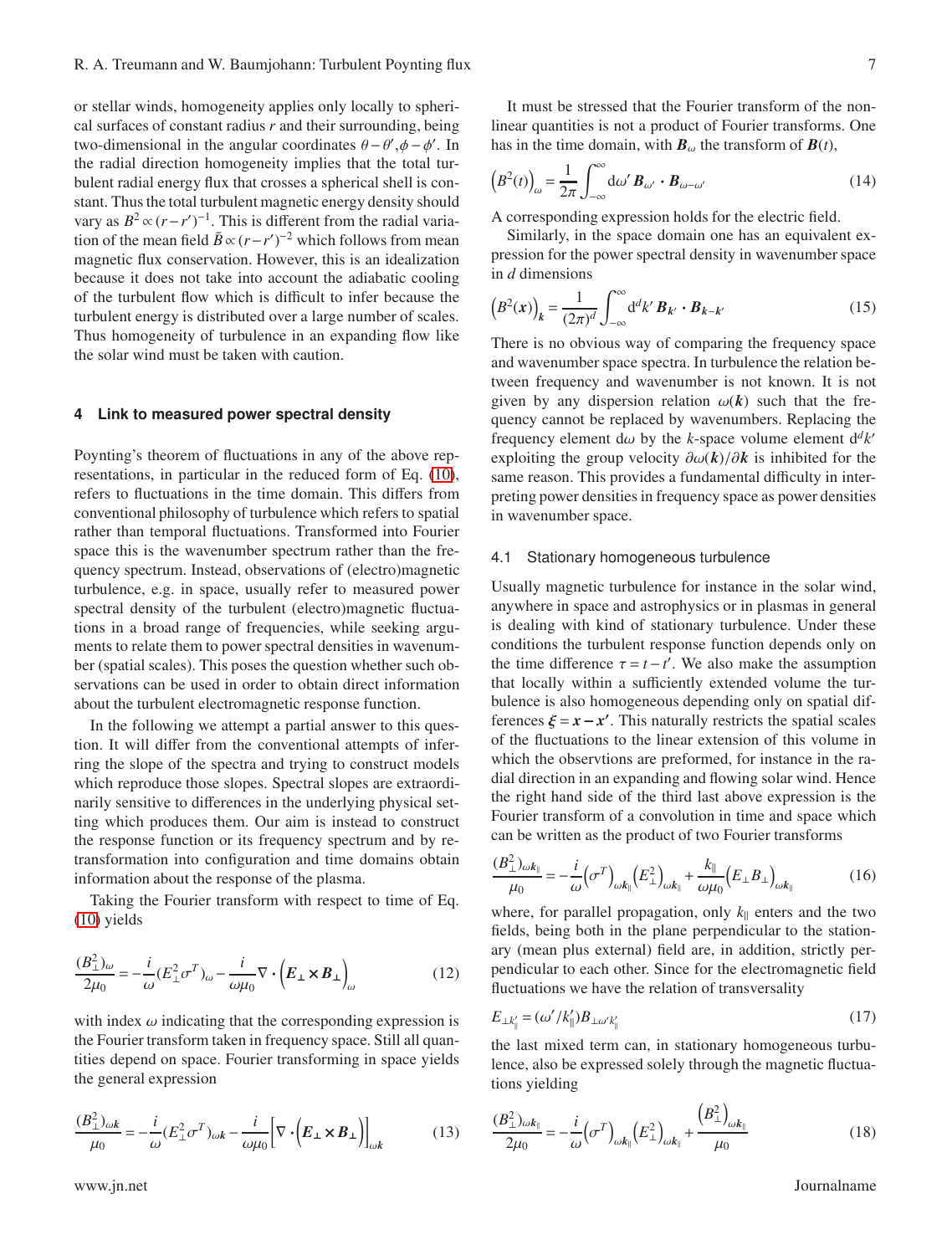or stellar winds, homogeneity applies only locally to spherical surfaces of constant radius *r* and their surrounding, being two-dimensional in the angular coordinates  $\theta - \theta', \phi - \phi'$ . In the radial direction homogeneity implies that the total turbulent radial energy flux that crosses a spherical shell is constant. Thus the total turbulent magnetic energy density should vary as  $B^2 \propto (r - r')^{-1}$ . This is different from the radial variation of the mean field  $\bar{B} \propto (r - r')^{-2}$  which follows from mean magnetic flux conservation. However, this is an idealization because it does not take into account the adiabatic cooling of the turbulent flow which is difficult to infer because the turbulent energy is distributed over a large number of scales. Thus homogeneity of turbulence in an expanding flow like the solar wind must be taken with caution.

## **4 Link to measured power spectral density**

Poynting's theorem of fluctuations in any of the above representations, in particular in the reduced form of Eq. [\(10\)](#page-5-2), refers to fluctuations in the time domain. This differs from conventional philosophy of turbulence which refers to spatial rather than temporal fluctuations. Transformed into Fourier space this is the wavenumber spectrum rather than the frequency spectrum. Instead, observations of (electro)magnetic turbulence, e.g. in space, usually refer to measured power spectral density of the turbulent (electro)magnetic fluctuations in a broad range of frequencies, while seeking arguments to relate them to power spectral densities in wavenumber (spatial scales). This poses the question whether such observations can be used in order to obtain direct information about the turbulent electromagnetic response function.

In the following we attempt a partial answer to this question. It will differ from the conventional attempts of inferring the slope of the spectra and trying to construct models which reproduce those slopes. Spectral slopes are extraordinarily sensitive to differences in the underlying physical setting which produces them. Our aim is instead to construct the response function or its frequency spectrum and by retransformation into configuration and time domains obtain information about the response of the plasma.

Taking the Fourier transform with respect to time of Eq. [\(10\)](#page-5-2) yields

<span id="page-6-1"></span>
$$
\frac{(B_{\perp}^2)_{\omega}}{2\mu_0} = -\frac{i}{\omega} (E_{\perp}^2 \sigma^T)_{\omega} - \frac{i}{\omega\mu_0} \nabla \cdot (E_{\perp} \times B_{\perp})_{\omega}
$$
(12)

with index  $\omega$  indicating that the corresponding expression is the Fourier transform taken in frequency space. Still all quantities depend on space. Fourier transforming in space yields the general expression

<span id="page-6-0"></span>
$$
\frac{(B_{\perp}^2)_{\omega k}}{\mu_0} = -\frac{i}{\omega} (E_{\perp}^2 \sigma^T)_{\omega k} - \frac{i}{\omega \mu_0} \Big[ \nabla \cdot \Big( E_{\perp} \times B_{\perp} \Big) \Big]_{\omega k} \tag{13}
$$

It must be stressed that the Fourier transform of the nonlinear quantities is not a product of Fourier transforms. One has in the time domain, with  $\mathbf{B}_{\omega}$  the transform of  $\mathbf{B}(t)$ ,

$$
\left(B^2(t)\right)_{\omega} = \frac{1}{2\pi} \int_{-\infty}^{\infty} d\omega' \, \mathbf{B}_{\omega'} \cdot \mathbf{B}_{\omega - \omega'} \tag{14}
$$

A corresponding expression holds for the electric field.

Similarly, in the space domain one has an equivalent expression for the power spectral density in wavenumber space in *d* dimensions

$$
\left(B^2(\mathbf{x})\right)_k = \frac{1}{(2\pi)^d} \int_{-\infty}^{\infty} \mathrm{d}^d k' \, \mathbf{B}_{k'} \cdot \mathbf{B}_{k-k'} \tag{15}
$$

There is no obvious way of comparing the frequency space and wavenumber space spectra. In turbulence the relation between frequency and wavenumber is not known. It is not given by any dispersion relation  $\omega(k)$  such that the frequency cannot be replaced by wavenumbers. Replacing the frequency element d $\omega$  by the *k*-space volume element  $d^d k'$ exploiting the group velocity ∂ω(*k*)/∂*k* is inhibited for the same reason. This provides a fundamental difficulty in interpreting power densities in frequency space as power densities in wavenumber space.

## 4.1 Stationary homogeneous turbulence

Usually magnetic turbulence for instance in the solar wind, anywhere in space and astrophysics or in plasmas in general is dealing with kind of stationary turbulence. Under these conditions the turbulent response function depends only on the time difference  $\tau = t - t'$ . We also make the assumption that locally within a sufficiently extended volume the turbulence is also homogeneous depending only on spatial differences  $\xi = x - x'$ . This naturally restricts the spatial scales of the fluctuations to the linear extension of this volume in which the observtions are preformed, for instance in the radial direction in an expanding and flowing solar wind. Hence the right hand side of the third last above expression is the Fourier transform of a convolution in time and space which can be written as the product of two Fourier transforms

$$
\frac{(B_{\perp}^2)_{\omega k_{\parallel}}}{\mu_0} = -\frac{i}{\omega} \left(\sigma^T\right)_{\omega k_{\parallel}} \left(E_{\perp}^2\right)_{\omega k_{\parallel}} + \frac{k_{\parallel}}{\omega \mu_0} \left(E_{\perp} B_{\perp}\right)_{\omega k_{\parallel}} \tag{16}
$$

where, for parallel propagation, only  $k_{\parallel}$  enters and the two fields, being both in the plane perpendicular to the stationary (mean plus external) field are, in addition, strictly perpendicular to each other. Since for the electromagnetic field fluctuations we have the relation of transversality

$$
E_{\perp k'_{\parallel}} = (\omega'/k'_{\parallel})B_{\perp \omega' k'_{\parallel}} \tag{17}
$$

the last mixed term can, in stationary homogeneous turbulence, also be expressed solely through the magnetic fluctuations yielding

$$
\frac{(B_{\perp}^{2})_{\omega k_{\parallel}}}{2\mu_{0}} = -\frac{i}{\omega} \left(\sigma^{T}\right)_{\omega k_{\parallel}} \left(E_{\perp}^{2}\right)_{\omega k_{\parallel}} + \frac{\left(B_{\perp}^{2}\right)_{\omega k_{\parallel}}}{\mu_{0}} \tag{18}
$$

www.jn.net Journalname Superior (1999) www.jn.net Journalname Superior (1999) www.jn.net Journalname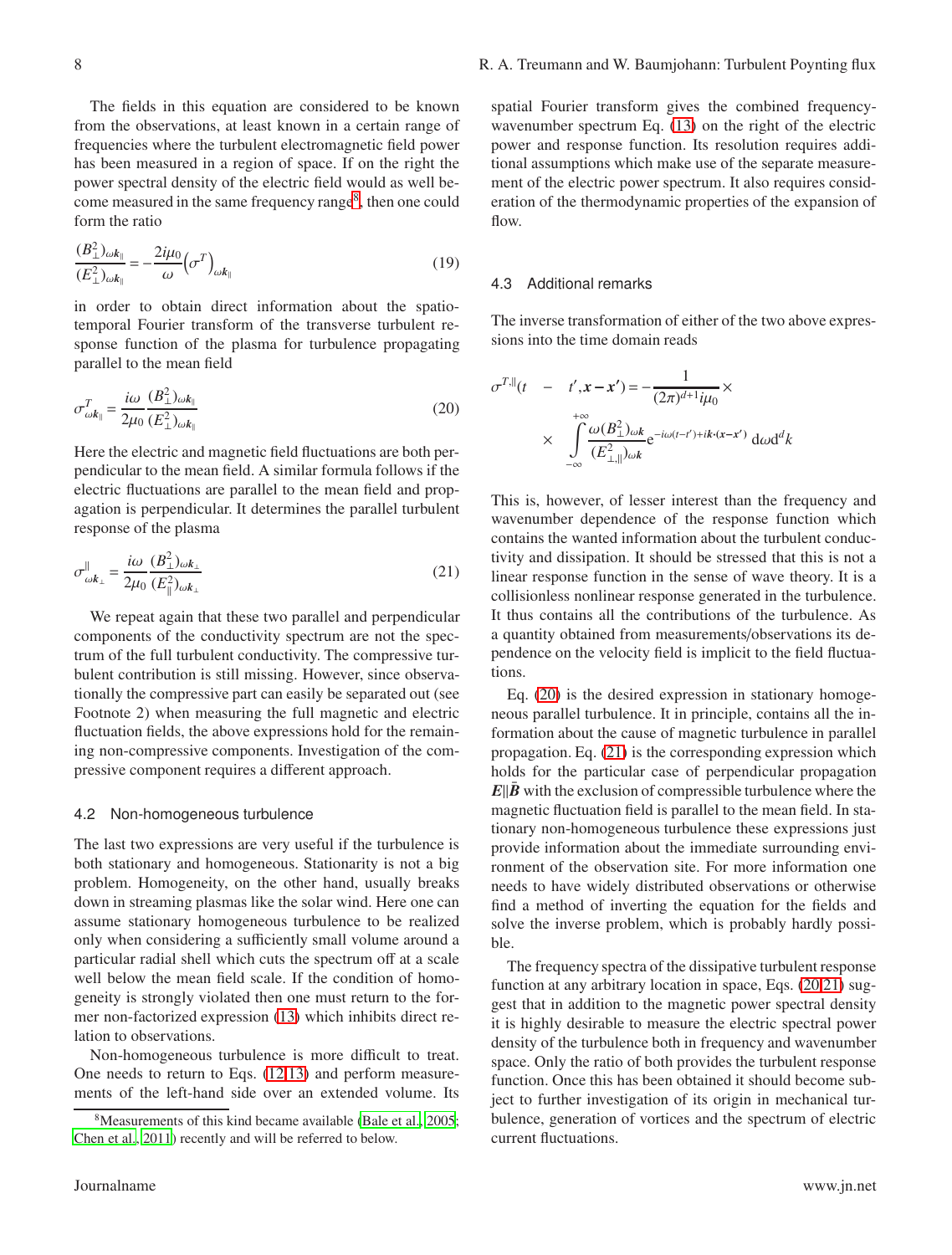The fields in this equation are considered to be known from the observations, at least known in a certain range of frequencies where the turbulent electromagnetic field power has been measured in a region of space. If on the right the power spectral density of the electric field would as well be-come measured in the same frequency range<sup>[8](#page-7-0)</sup>, then one could form the ratio

<span id="page-7-3"></span>
$$
\frac{(B_{\perp}^2)_{\omega k_{\parallel}}}{(E_{\perp}^2)_{\omega k_{\parallel}}} = -\frac{2i\mu_0}{\omega} \left(\sigma^T\right)_{\omega k_{\parallel}}
$$
\n(19)

in order to obtain direct information about the spatiotemporal Fourier transform of the transverse turbulent response function of the plasma for turbulence propagating parallel to the mean field

<span id="page-7-1"></span>
$$
\sigma_{\omega k_{\parallel}}^{T} = \frac{i\omega}{2\mu_{0}} \frac{(B_{\perp}^{2})_{\omega k_{\parallel}}}{(E_{\perp}^{2})_{\omega k_{\parallel}}} \tag{20}
$$

Here the electric and magnetic field fluctuations are both perpendicular to the mean field. A similar formula follows if the electric fluctuations are parallel to the mean field and propagation is perpendicular. It determines the parallel turbulent response of the plasma

<span id="page-7-2"></span>
$$
\sigma_{\omega k_{\perp}}^{\parallel} = \frac{i\omega}{2\mu_0} \frac{(B_{\perp}^2)_{\omega k_{\perp}}}{(E_{\parallel}^2)_{\omega k_{\perp}}} \tag{21}
$$

We repeat again that these two parallel and perpendicular components of the conductivity spectrum are not the spectrum of the full turbulent conductivity. The compressive turbulent contribution is still missing. However, since observationally the compressive part can easily be separated out (see Footnote 2) when measuring the full magnetic and electric fluctuation fields, the above expressions hold for the remaining non-compressive components. Investigation of the compressive component requires a different approach.

#### 4.2 Non-homogeneous turbulence

The last two expressions are very useful if the turbulence is both stationary and homogeneous. Stationarity is not a big problem. Homogeneity, on the other hand, usually breaks down in streaming plasmas like the solar wind. Here one can assume stationary homogeneous turbulence to be realized only when considering a sufficiently small volume around a particular radial shell which cuts the spectrum off at a scale well below the mean field scale. If the condition of homogeneity is strongly violated then one must return to the former non-factorized expression [\(13\)](#page-6-0) which inhibits direct relation to observations.

Non-homogeneous turbulence is more difficult to treat. One needs to return to Eqs. [\(12,](#page-6-1)[13\)](#page-6-0) and perform measurements of the left-hand side over an extended volume. Its

spatial Fourier transform gives the combined frequencywavenumber spectrum Eq. [\(13\)](#page-6-0) on the right of the electric power and response function. Its resolution requires additional assumptions which make use of the separate measurement of the electric power spectrum. It also requires consideration of the thermodynamic properties of the expansion of flow.

#### 4.3 Additional remarks

The inverse transformation of either of the two above expressions into the time domain reads

$$
\sigma^{T,\parallel}(t - t', \mathbf{x} - \mathbf{x}') = -\frac{1}{(2\pi)^{d+1}i\mu_0} \times
$$

$$
\times \int_{-\infty}^{+\infty} \frac{\omega(B_{\perp}^2) \omega k}{(E_{\perp,\parallel}^2) \omega k} e^{-i\omega(t-t') + ik \cdot (\mathbf{x} - \mathbf{x}')} d\omega d^d k
$$

This is, however, of lesser interest than the frequency and wavenumber dependence of the response function which contains the wanted information about the turbulent conductivity and dissipation. It should be stressed that this is not a linear response function in the sense of wave theory. It is a collisionless nonlinear response generated in the turbulence. It thus contains all the contributions of the turbulence. As a quantity obtained from measurements/observations its dependence on the velocity field is implicit to the field fluctuations.

Eq. [\(20\)](#page-7-1) is the desired expression in stationary homogeneous parallel turbulence. It in principle, contains all the information about the cause of magnetic turbulence in parallel propagation. Eq. [\(21\)](#page-7-2) is the corresponding expression which holds for the particular case of perpendicular propagation  $E\Vert \bar{B}$  with the exclusion of compressible turbulence where the magnetic fluctuation field is parallel to the mean field. In stationary non-homogeneous turbulence these expressions just provide information about the immediate surrounding environment of the observation site. For more information one needs to have widely distributed observations or otherwise find a method of inverting the equation for the fields and solve the inverse problem, which is probably hardly possible.

The frequency spectra of the dissipative turbulent response function at any arbitrary location in space, Eqs. [\(20,](#page-7-1)[21\)](#page-7-2) suggest that in addition to the magnetic power spectral density it is highly desirable to measure the electric spectral power density of the turbulence both in frequency and wavenumber space. Only the ratio of both provides the turbulent response function. Once this has been obtained it should become subject to further investigation of its origin in mechanical turbulence, generation of vortices and the spectrum of electric current fluctuations.

<span id="page-7-0"></span><sup>&</sup>lt;sup>8</sup>Measurements of this kind became available [\(Bale et al., 2005;](#page-16-1) [Chen et al.](#page-17-25), [2011](#page-17-25)) recently and will be referred to below.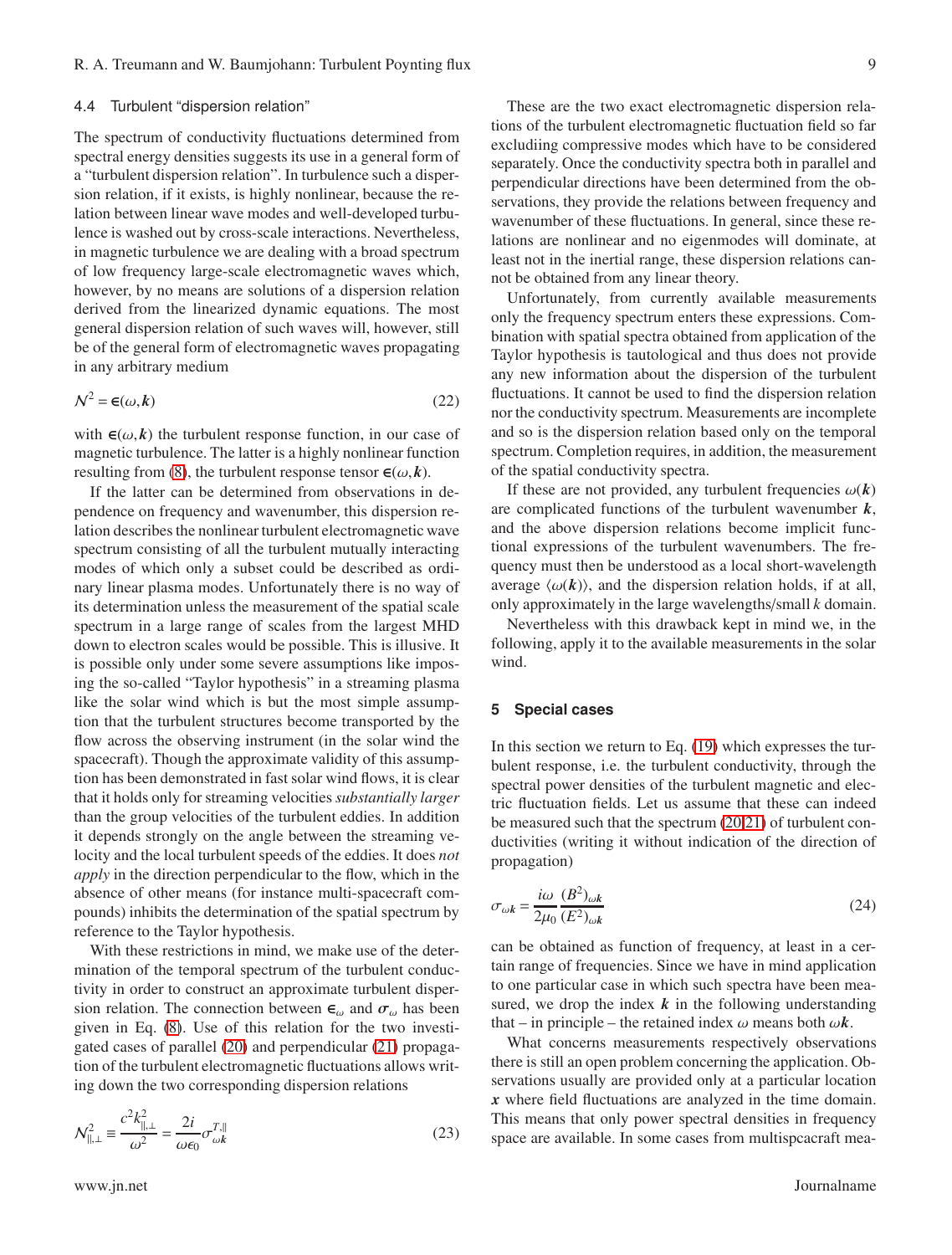### 4.4 Turbulent "dispersion relation"

The spectrum of conductivity fluctuations determined from spectral energy densities suggests its use in a general form of a "turbulent dispersion relation". In turbulence such a dispersion relation, if it exists, is highly nonlinear, because the relation between linear wave modes and well-developed turbulence is washed out by cross-scale interactions. Nevertheless, in magnetic turbulence we are dealing with a broad spectrum of low frequency large-scale electromagnetic waves which, however, by no means are solutions of a dispersion relation derived from the linearized dynamic equations. The most general dispersion relation of such waves will, however, still be of the general form of electromagnetic waves propagating in any arbitrary medium

$$
\mathcal{N}^2 = \mathbf{\epsilon}(\omega, k) \tag{22}
$$

with  $\epsilon(\omega, k)$  the turbulent response function, in our case of magnetic turbulence. The latter is a highly nonlinear function resulting from [\(8\)](#page-5-3), the turbulent response tensor  $\boldsymbol{\epsilon}(\omega, \boldsymbol{k})$ .

If the latter can be determined from observations in dependence on frequency and wavenumber, this dispersion relation describes the nonlinear turbulent electromagnetic wave spectrum consisting of all the turbulent mutually interacting modes of which only a subset could be described as ordinary linear plasma modes. Unfortunately there is no way of its determination unless the measurement of the spatial scale spectrum in a large range of scales from the largest MHD down to electron scales would be possible. This is illusive. It is possible only under some severe assumptions like imposing the so-called "Taylor hypothesis" in a streaming plasma like the solar wind which is but the most simple assumption that the turbulent structures become transported by the flow across the observing instrument (in the solar wind the spacecraft). Though the approximate validity of this assumption has been demonstrated in fast solar wind flows, it is clear that it holds only for streaming velocities *substantially larger* than the group velocities of the turbulent eddies. In addition it depends strongly on the angle between the streaming velocity and the local turbulent speeds of the eddies. It does *not apply* in the direction perpendicular to the flow, which in the absence of other means (for instance multi-spacecraft compounds) inhibits the determination of the spatial spectrum by reference to the Taylor hypothesis.

With these restrictions in mind, we make use of the determination of the temporal spectrum of the turbulent conductivity in order to construct an approximate turbulent dispersion relation. The connection between  $\epsilon_{\omega}$  and  $\sigma_{\omega}$  has been given in Eq. [\(8\)](#page-5-3). Use of this relation for the two investigated cases of parallel [\(20\)](#page-7-1) and perpendicular [\(21\)](#page-7-2) propagation of the turbulent electromagnetic fluctuations allows writing down the two corresponding dispersion relations

<span id="page-8-0"></span>
$$
\mathcal{N}_{\parallel, \perp}^2 \equiv \frac{c^2 k_{\parallel, \perp}^2}{\omega^2} = \frac{2i}{\omega \epsilon_0} \sigma_{\omega k}^{T, \|}
$$
\n(23)

These are the two exact electromagnetic dispersion relations of the turbulent electromagnetic fluctuation field so far excludiing compressive modes which have to be considered separately. Once the conductivity spectra both in parallel and perpendicular directions have been determined from the observations, they provide the relations between frequency and wavenumber of these fluctuations. In general, since these relations are nonlinear and no eigenmodes will dominate, at least not in the inertial range, these dispersion relations cannot be obtained from any linear theory.

Unfortunately, from currently available measurements only the frequency spectrum enters these expressions. Combination with spatial spectra obtained from application of the Taylor hypothesis is tautological and thus does not provide any new information about the dispersion of the turbulent fluctuations. It cannot be used to find the dispersion relation nor the conductivity spectrum. Measurements are incomplete and so is the dispersion relation based only on the temporal spectrum. Completion requires, in addition, the measurement of the spatial conductivity spectra.

If these are not provided, any turbulent frequencies  $\omega(k)$ are complicated functions of the turbulent wavenumber *k*, and the above dispersion relations become implicit functional expressions of the turbulent wavenumbers. The frequency must then be understood as a local short-wavelength average  $\langle \omega(\mathbf{k}) \rangle$ , and the dispersion relation holds, if at all, only approximately in the large wavelengths/small *k* domain.

Nevertheless with this drawback kept in mind we, in the following, apply it to the available measurements in the solar wind.

#### **5 Special cases**

In this section we return to Eq.  $(19)$  which expresses the turbulent response, i.e. the turbulent conductivity, through the spectral power densities of the turbulent magnetic and electric fluctuation fields. Let us assume that these can indeed be measured such that the spectrum [\(20](#page-7-1)[,21\)](#page-7-2) of turbulent conductivities (writing it without indication of the direction of propagation)

<span id="page-8-1"></span>
$$
\sigma_{\omega k} = \frac{i\omega}{2\mu_0} \frac{(B^2)_{\omega k}}{(E^2)_{\omega k}}
$$
\n(24)

can be obtained as function of frequency, at least in a certain range of frequencies. Since we have in mind application to one particular case in which such spectra have been measured, we drop the index  $k$  in the following understanding that – in principle – the retained index  $\omega$  means both  $\omega k$ .

What concerns measurements respectively observations there is still an open problem concerning the application. Observations usually are provided only at a particular location *x* where field fluctuations are analyzed in the time domain. This means that only power spectral densities in frequency space are available. In some cases from multispcacraft mea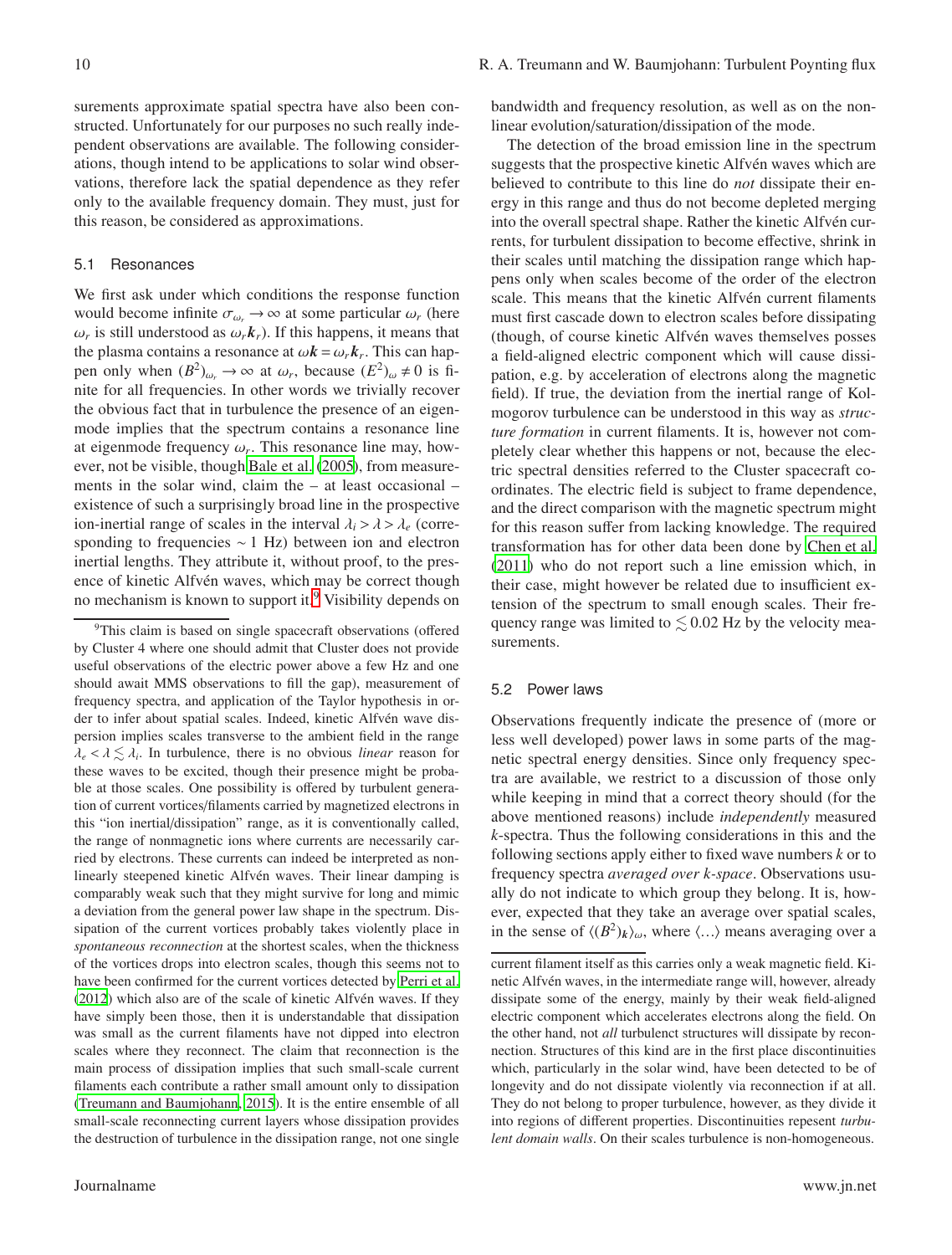surements approximate spatial spectra have also been constructed. Unfortunately for our purposes no such really independent observations are available. The following considerations, though intend to be applications to solar wind observations, therefore lack the spatial dependence as they refer only to the available frequency domain. They must, just for this reason, be considered as approximations.

## 5.1 Resonances

We first ask under which conditions the response function would become infinite  $\sigma_{\omega_r} \to \infty$  at some particular  $\omega_r$  (here  $\omega_r$  is still understood as  $\omega_r \mathbf{k}_r$ ). If this happens, it means that the plasma contains a resonance at  $\omega \mathbf{k} = \omega_r \mathbf{k}_r$ . This can happen only when  $(B^2)_{\omega_r} \to \infty$  at  $\omega_r$ , because  $(E^2)_{\omega} \neq 0$  is finite for all frequencies. In other words we trivially recover the obvious fact that in turbulence the presence of an eigenmode implies that the spectrum contains a resonance line at eigenmode frequency  $\omega_r$ . This resonance line may, however, not be visible, though [Bale et al. \(2005\)](#page-16-1), from measurements in the solar wind, claim the – at least occasional – existence of such a surprisingly broad line in the prospective ion-inertial range of scales in the interval  $\lambda_i > \lambda > \lambda_e$  (corresponding to frequencies ∼ 1 Hz) between ion and electron inertial lengths. They attribute it, without proof, to the presence of kinetic Alfvén waves, which may be correct though no mechanism is known to support it.<sup>[9](#page-9-0)</sup> Visibility depends on bandwidth and frequency resolution, as well as on the nonlinear evolution/saturation/dissipation of the mode.

The detection of the broad emission line in the spectrum suggests that the prospective kinetic Alfvén waves which are believed to contribute to this line do *not* dissipate their energy in this range and thus do not become depleted merging into the overall spectral shape. Rather the kinetic Alfvén currents, for turbulent dissipation to become effective, shrink in their scales until matching the dissipation range which happens only when scales become of the order of the electron scale. This means that the kinetic Alfvén current filaments must first cascade down to electron scales before dissipating (though, of course kinetic Alfvén waves themselves posses a field-aligned electric component which will cause dissipation, e.g. by acceleration of electrons along the magnetic field). If true, the deviation from the inertial range of Kolmogorov turbulence can be understood in this way as *structure formation* in current filaments. It is, however not completely clear whether this happens or not, because the electric spectral densities referred to the Cluster spacecraft coordinates. The electric field is subject to frame dependence, and the direct comparison with the magnetic spectrum might for this reason suffer from lacking knowledge. The required transformation has for other data been done by [Chen et al.](#page-17-25) [\(2011\)](#page-17-25) who do not report such a line emission which, in their case, might however be related due to insufficient extension of the spectrum to small enough scales. Their frequency range was limited to  $\leq 0.02$  Hz by the velocity measurements.

# 5.2 Power laws

Observations frequently indicate the presence of (more or less well developed) power laws in some parts of the magnetic spectral energy densities. Since only frequency spectra are available, we restrict to a discussion of those only while keeping in mind that a correct theory should (for the above mentioned reasons) include *independently* measured *k*-spectra. Thus the following considerations in this and the following sections apply either to fixed wave numbers *k* or to frequency spectra *averaged over k-space*. Observations usually do not indicate to which group they belong. It is, however, expected that they take an average over spatial scales, in the sense of  $\langle (B^2)_k \rangle_\omega$ , where  $\langle \ldots \rangle$  means averaging over a

<span id="page-9-0"></span><sup>&</sup>lt;sup>9</sup>This claim is based on single spacecraft observations (offered by Cluster 4 where one should admit that Cluster does not provide useful observations of the electric power above a few Hz and one should await MMS observations to fill the gap), measurement of frequency spectra, and application of the Taylor hypothesis in order to infer about spatial scales. Indeed, kinetic Alfvén wave dispersion implies scales transverse to the ambient field in the range  $\lambda_e < \lambda \lesssim \lambda_i$ . In turbulence, there is no obvious *linear* reason for these waves to be excited, though their presence might be probable at those scales. One possibility is offered by turbulent generation of current vortices/filaments carried by magnetized electrons in this "ion inertial/dissipation" range, as it is conventionally called, the range of nonmagnetic ions where currents are necessarily carried by electrons. These currents can indeed be interpreted as nonlinearly steepened kinetic Alfvén waves. Their linear damping is comparably weak such that they might survive for long and mimic a deviation from the general power law shape in the spectrum. Dissipation of the current vortices probably takes violently place in *spontaneous reconnection* at the shortest scales, when the thickness of the vortices drops into electron scales, though this seems not to have been confirmed for the current vortices detected by [Perri et al.](#page-17-32) [\(2012](#page-17-32)) which also are of the scale of kinetic Alfvén waves. If they have simply been those, then it is understandable that dissipation was small as the current filaments have not dipped into electron scales where they reconnect. The claim that reconnection is the main process of dissipation implies that such small-scale current filaments each contribute a rather small amount only to dissipation [\(Treumann and Baumjohann](#page-17-16), [2015\)](#page-17-16). It is the entire ensemble of all small-scale reconnecting current layers whose dissipation provides the destruction of turbulence in the dissipation range, not one single

current filament itself as this carries only a weak magnetic field. Kinetic Alfvén waves, in the intermediate range will, however, already dissipate some of the energy, mainly by their weak field-aligned electric component which accelerates electrons along the field. On the other hand, not *all* turbulenct structures will dissipate by reconnection. Structures of this kind are in the first place discontinuities which, particularly in the solar wind, have been detected to be of longevity and do not dissipate violently via reconnection if at all. They do not belong to proper turbulence, however, as they divide it into regions of different properties. Discontinuities repesent *turbulent domain walls*. On their scales turbulence is non-homogeneous.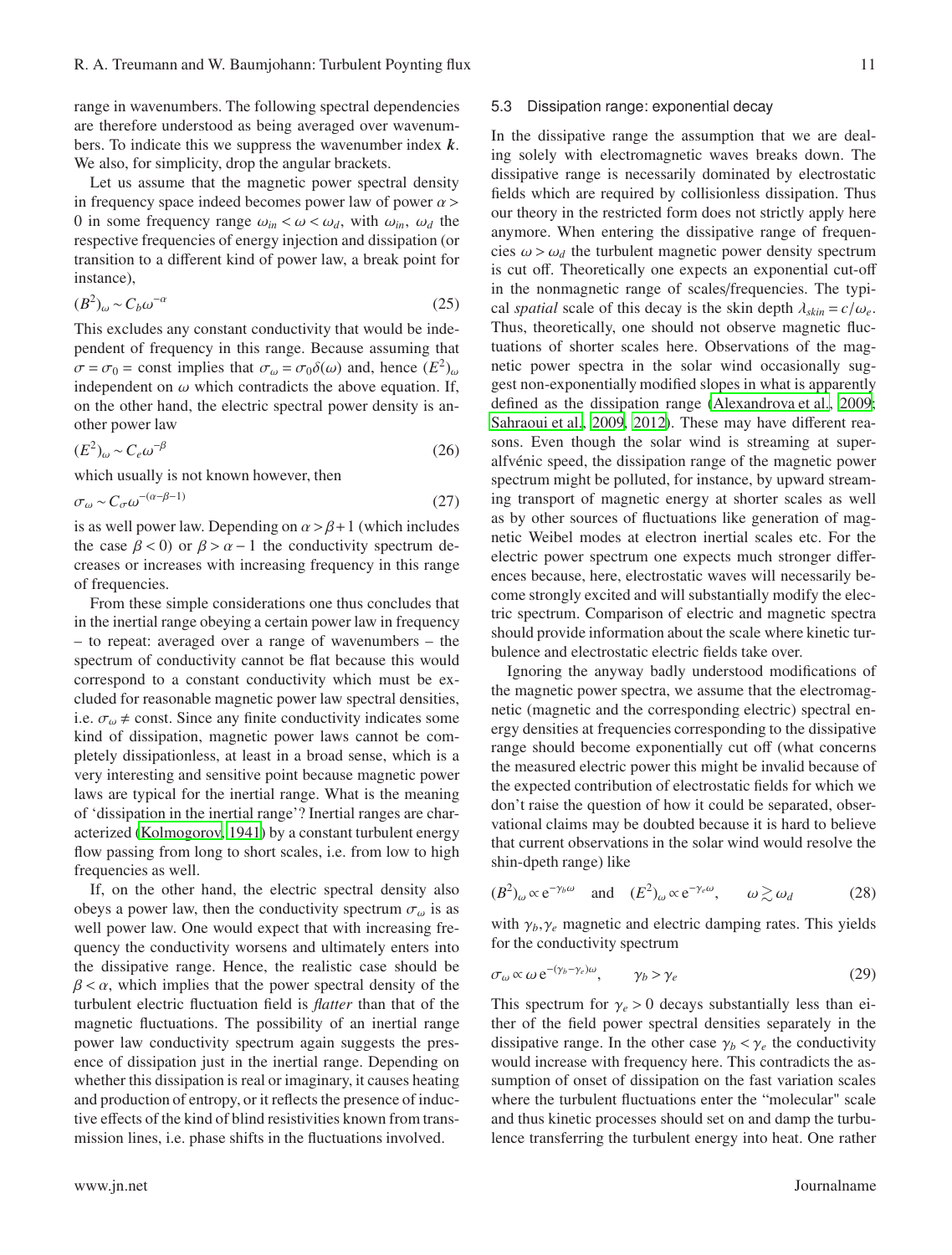range in wavenumbers. The following spectral dependencies are therefore understood as being averaged over wavenumbers. To indicate this we suppress the wavenumber index *k*. We also, for simplicity, drop the angular brackets.

Let us assume that the magnetic power spectral density in frequency space indeed becomes power law of power  $\alpha$  > 0 in some frequency range  $\omega_{in} < \omega < \omega_d$ , with  $\omega_{in}$ ,  $\omega_d$  the respective frequencies of energy injection and dissipation (or transition to a different kind of power law, a break point for instance),

$$
(B^2)_{\omega} \sim C_b \omega^{-\alpha} \tag{25}
$$

This excludes any constant conductivity that would be independent of frequency in this range. Because assuming that  $\sigma = \sigma_0 = \text{const}$  implies that  $\sigma_\omega = \sigma_0 \delta(\omega)$  and, hence  $(E^2)_{\omega}$ independent on  $\omega$  which contradicts the above equation. If, on the other hand, the electric spectral power density is another power law

$$
(E^2)_{\omega} \sim C_e \omega^{-\beta} \tag{26}
$$

which usually is not known however, then

<span id="page-10-0"></span>
$$
\sigma_{\omega} \sim C_{\sigma} \omega^{-(\alpha - \beta - 1)} \tag{27}
$$

is as well power law. Depending on  $\alpha > \beta + 1$  (which includes the case  $\beta$  < 0) or  $\beta > \alpha - 1$  the conductivity spectrum decreases or increases with increasing frequency in this range of frequencies.

From these simple considerations one thus concludes that in the inertial range obeying a certain power law in frequency – to repeat: averaged over a range of wavenumbers – the spectrum of conductivity cannot be flat because this would correspond to a constant conductivity which must be excluded for reasonable magnetic power law spectral densities, i.e.  $\sigma_{\omega} \neq$  const. Since any finite conductivity indicates some kind of dissipation, magnetic power laws cannot be completely dissipationless, at least in a broad sense, which is a very interesting and sensitive point because magnetic power laws are typical for the inertial range. What is the meaning of 'dissipation in the inertial range'? Inertial ranges are characterized [\(Kolmogorov, 1941\)](#page-17-17) by a constant turbulent energy flow passing from long to short scales, i.e. from low to high frequencies as well.

If, on the other hand, the electric spectral density also obeys a power law, then the conductivity spectrum  $\sigma_{\omega}$  is as well power law. One would expect that with increasing frequency the conductivity worsens and ultimately enters into the dissipative range. Hence, the realistic case should be  $\beta < \alpha$ , which implies that the power spectral density of the turbulent electric fluctuation field is *flatter* than that of the magnetic fluctuations. The possibility of an inertial range power law conductivity spectrum again suggests the presence of dissipation just in the inertial range. Depending on whether this dissipation is real or imaginary, it causes heating and production of entropy, or it reflects the presence of inductive effects of the kind of blind resistivities known from transmission lines, i.e. phase shifts in the fluctuations involved.

# 5.3 Dissipation range: exponential decay

In the dissipative range the assumption that we are dealing solely with electromagnetic waves breaks down. The dissipative range is necessarily dominated by electrostatic fields which are required by collisionless dissipation. Thus our theory in the restricted form does not strictly apply here anymore. When entering the dissipative range of frequencies  $\omega > \omega_d$  the turbulent magnetic power density spectrum is cut off. Theoretically one expects an exponential cut-off in the nonmagnetic range of scales/frequencies. The typical *spatial* scale of this decay is the skin depth  $\lambda_{skin} = c/\omega_e$ . Thus, theoretically, one should not observe magnetic fluctuations of shorter scales here. Observations of the magnetic power spectra in the solar wind occasionally suggest non-exponentially modified slopes in what is apparently defined as the dissipation range [\(Alexandrova et al.](#page-16-2), [2009;](#page-16-2) [Sahraoui et al., 2009,](#page-17-23) [2012\)](#page-17-6). These may have different reasons. Even though the solar wind is streaming at superalfvénic speed, the dissipation range of the magnetic power spectrum might be polluted, for instance, by upward streaming transport of magnetic energy at shorter scales as well as by other sources of fluctuations like generation of magnetic Weibel modes at electron inertial scales etc. For the electric power spectrum one expects much stronger differences because, here, electrostatic waves will necessarily become strongly excited and will substantially modify the electric spectrum. Comparison of electric and magnetic spectra should provide information about the scale where kinetic turbulence and electrostatic electric fields take over.

Ignoring the anyway badly understood modifications of the magnetic power spectra, we assume that the electromagnetic (magnetic and the corresponding electric) spectral energy densities at frequencies corresponding to the dissipative range should become exponentially cut off (what concerns the measured electric power this might be invalid because of the expected contribution of electrostatic fields for which we don't raise the question of how it could be separated, observational claims may be doubted because it is hard to believe that current observations in the solar wind would resolve the shin-dpeth range) like

$$
(B2)\omega \propto e^{-\gamma_b \omega} \quad \text{and} \quad (E2)\omega \propto e^{-\gamma_e \omega}, \qquad \omega \gtrsim \omega_d \tag{28}
$$

with  $\gamma_b, \gamma_e$  magnetic and electric damping rates. This yields for the conductivity spectrum

$$
\sigma_{\omega} \propto \omega \, e^{-(\gamma_b - \gamma_e)\omega}, \qquad \gamma_b > \gamma_e \tag{29}
$$

This spectrum for  $\gamma_e > 0$  decays substantially less than either of the field power spectral densities separately in the dissipative range. In the other case  $\gamma_b < \gamma_e$  the conductivity would increase with frequency here. This contradicts the assumption of onset of dissipation on the fast variation scales where the turbulent fluctuations enter the "molecular" scale and thus kinetic processes should set on and damp the turbulence transferring the turbulent energy into heat. One rather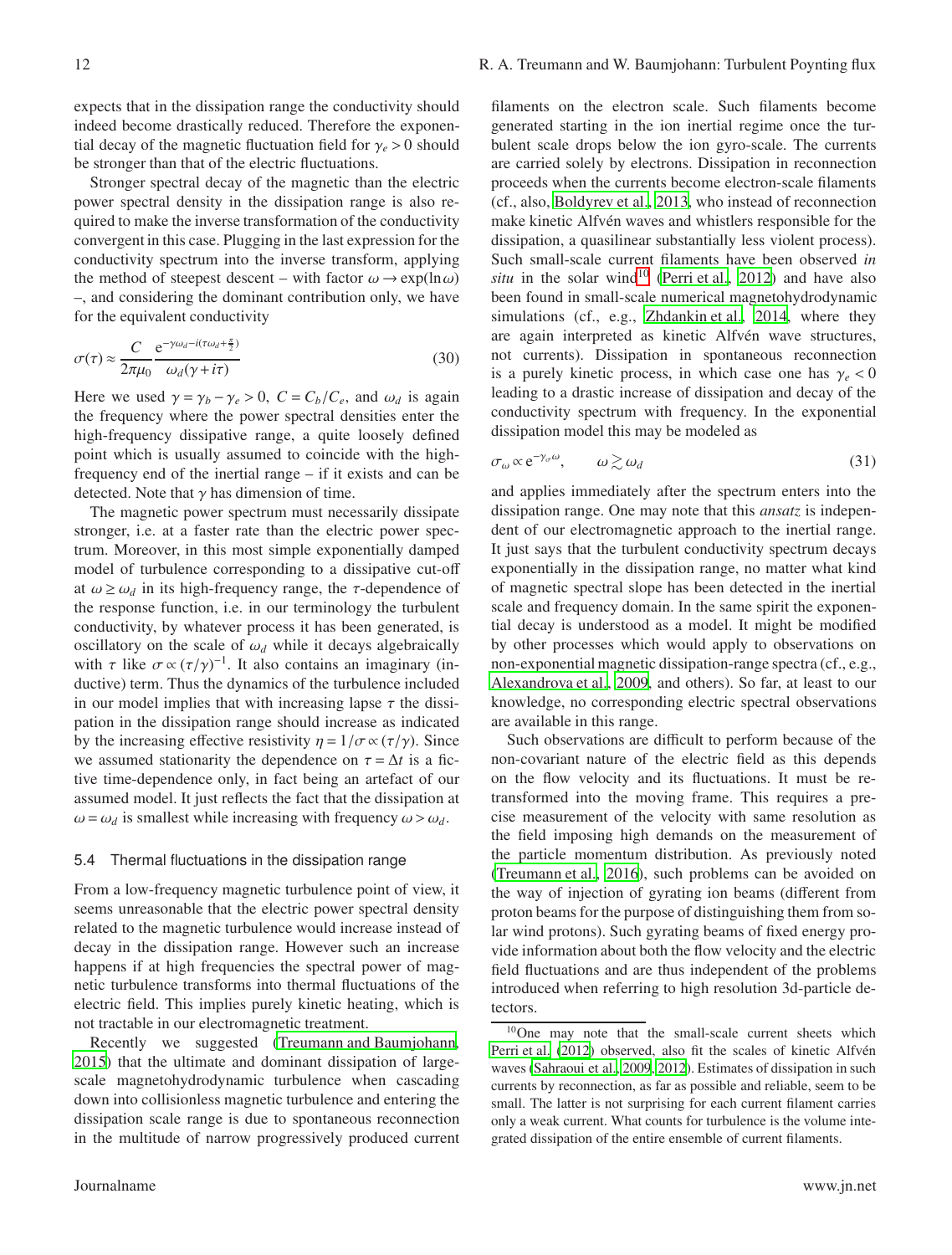expects that in the dissipation range the conductivity should indeed become drastically reduced. Therefore the exponential decay of the magnetic fluctuation field for  $\gamma_e > 0$  should be stronger than that of the electric fluctuations.

Stronger spectral decay of the magnetic than the electric power spectral density in the dissipation range is also required to make the inverse transformation of the conductivity convergent in this case. Plugging in the last expression for the conductivity spectrum into the inverse transform, applying the method of steepest descent – with factor  $\omega \rightarrow \exp(\ln \omega)$ –, and considering the dominant contribution only, we have for the equivalent conductivity

$$
\sigma(\tau) \approx \frac{C}{2\pi\mu_0} \frac{e^{-\gamma\omega_d - i(\tau\omega_d + \frac{\pi}{2})}}{\omega_d(\gamma + i\tau)}
$$
(30)

Here we used  $\gamma = \gamma_b - \gamma_e > 0$ ,  $C = C_b/C_e$ , and  $\omega_d$  is again the frequency where the power spectral densities enter the high-frequency dissipative range, a quite loosely defined point which is usually assumed to coincide with the highfrequency end of the inertial range – if it exists and can be detected. Note that  $\gamma$  has dimension of time.

The magnetic power spectrum must necessarily dissipate stronger, i.e. at a faster rate than the electric power spectrum. Moreover, in this most simple exponentially damped model of turbulence corresponding to a dissipative cut-off at  $\omega \ge \omega_d$  in its high-frequency range, the  $\tau$ -dependence of the response function, i.e. in our terminology the turbulent conductivity, by whatever process it has been generated, is oscillatory on the scale of  $\omega_d$  while it decays algebraically with  $\tau$  like  $\sigma \propto (\tau/\gamma)^{-1}$ . It also contains an imaginary (inductive) term. Thus the dynamics of the turbulence included in our model implies that with increasing lapse  $\tau$  the dissipation in the dissipation range should increase as indicated by the increasing effective resistivity  $\eta = 1/\sigma \propto (\tau/\gamma)$ . Since we assumed stationarity the dependence on  $\tau = \Delta t$  is a fictive time-dependence only, in fact being an artefact of our assumed model. It just reflects the fact that the dissipation at  $\omega = \omega_d$  is smallest while increasing with frequency  $\omega > \omega_d$ .

## 5.4 Thermal fluctuations in the dissipation range

From a low-frequency magnetic turbulence point of view, it seems unreasonable that the electric power spectral density related to the magnetic turbulence would increase instead of decay in the dissipation range. However such an increase happens if at high frequencies the spectral power of magnetic turbulence transforms into thermal fluctuations of the electric field. This implies purely kinetic heating, which is not tractable in our electromagnetic treatment.

Recently we suggested [\(Treumann and Baumjohann](#page-17-16), [2015\)](#page-17-16) that the ultimate and dominant dissipation of largescale magnetohydrodynamic turbulence when cascading down into collisionless magnetic turbulence and entering the dissipation scale range is due to spontaneous reconnection in the multitude of narrow progressively produced current

filaments on the electron scale. Such filaments become generated starting in the ion inertial regime once the turbulent scale drops below the ion gyro-scale. The currents are carried solely by electrons. Dissipation in reconnection proceeds when the currents become electron-scale filaments (cf., also, [Boldyrev et al., 2013,](#page-17-4) who instead of reconnection make kinetic Alfvén waves and whistlers responsible for the dissipation, a quasilinear substantially less violent process). Such small-scale current filaments have been observed *in situ* in the solar wind<sup>[10](#page-11-0)</sup> [\(Perri et al., 2012\)](#page-17-32) and have also been found in small-scale numerical magnetohydrodynamic simulations (cf., e.g., [Zhdankin et al.](#page-17-33), [2014,](#page-17-33) where they are again interpreted as kinetic Alfvén wave structures, not currents). Dissipation in spontaneous reconnection is a purely kinetic process, in which case one has  $\gamma_e < 0$ leading to a drastic increase of dissipation and decay of the conductivity spectrum with frequency. In the exponential dissipation model this may be modeled as

$$
\sigma_{\omega} \propto e^{-\gamma_{\sigma}\omega}, \qquad \omega \gtrsim \omega_d \tag{31}
$$

and applies immediately after the spectrum enters into the dissipation range. One may note that this *ansatz* is independent of our electromagnetic approach to the inertial range. It just says that the turbulent conductivity spectrum decays exponentially in the dissipation range, no matter what kind of magnetic spectral slope has been detected in the inertial scale and frequency domain. In the same spirit the exponential decay is understood as a model. It might be modified by other processes which would apply to observations on non-exponential magnetic dissipation-range spectra (cf., e.g., [Alexandrova et al.](#page-16-2), [2009,](#page-16-2) and others). So far, at least to our knowledge, no corresponding electric spectral observations are available in this range.

Such observations are difficult to perform because of the non-covariant nature of the electric field as this depends on the flow velocity and its fluctuations. It must be retransformed into the moving frame. This requires a precise measurement of the velocity with same resolution as the field imposing high demands on the measurement of the particle momentum distribution. As previously noted [\(Treumann et al.](#page-17-34), [2016\)](#page-17-34), such problems can be avoided on the way of injection of gyrating ion beams (different from proton beams for the purpose of distinguishing them from solar wind protons). Such gyrating beams of fixed energy provide information about both the flow velocity and the electric field fluctuations and are thus independent of the problems introduced when referring to high resolution 3d-particle detectors.

<span id="page-11-0"></span><sup>10</sup>One may note that the small-scale current sheets which [Perri et al. \(2012](#page-17-32)) observed, also fit the scales of kinetic Alfvén waves [\(Sahraoui et al., 2009](#page-17-23), [2012](#page-17-6)). Estimates of dissipation in such currents by reconnection, as far as possible and reliable, seem to be small. The latter is not surprising for each current filament carries only a weak current. What counts for turbulence is the volume integrated dissipation of the entire ensemble of current filaments.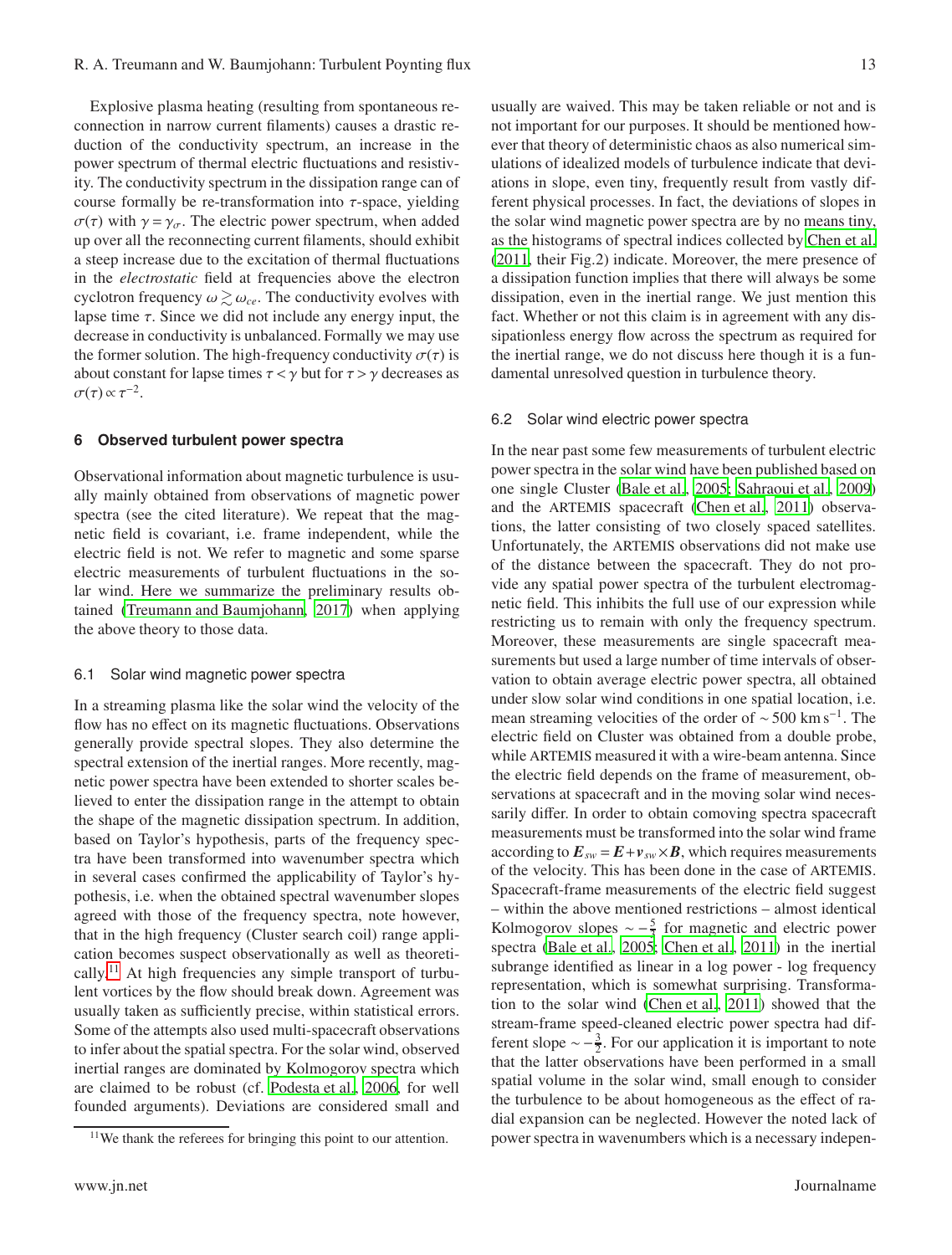Explosive plasma heating (resulting from spontaneous reconnection in narrow current filaments) causes a drastic reduction of the conductivity spectrum, an increase in the power spectrum of thermal electric fluctuations and resistivity. The conductivity spectrum in the dissipation range can of course formally be re-transformation into  $\tau$ -space, yielding  $\sigma(\tau)$  with  $\gamma = \gamma_{\sigma}$ . The electric power spectrum, when added up over all the reconnecting current filaments, should exhibit a steep increase due to the excitation of thermal fluctuations in the *electrostatic* field at frequencies above the electron cyclotron frequency  $\omega \gtrsim \omega_{ce}$ . The conductivity evolves with lapse time  $\tau$ . Since we did not include any energy input, the decrease in conductivity is unbalanced. Formally we may use the former solution. The high-frequency conductivity  $\sigma(\tau)$  is about constant for lapse times  $\tau < \gamma$  but for  $\tau > \gamma$  decreases as  $\sigma(\tau) \propto \tau^{-2}$ .

# **6 Observed turbulent power spectra**

Observational information about magnetic turbulence is usually mainly obtained from observations of magnetic power spectra (see the cited literature). We repeat that the magnetic field is covariant, i.e. frame independent, while the electric field is not. We refer to magnetic and some sparse electric measurements of turbulent fluctuations in the solar wind. Here we summarize the preliminary results obtained [\(Treumann and Baumjohann](#page-17-35), [2017\)](#page-17-35) when applying the above theory to those data.

#### 6.1 Solar wind magnetic power spectra

In a streaming plasma like the solar wind the velocity of the flow has no effect on its magnetic fluctuations. Observations generally provide spectral slopes. They also determine the spectral extension of the inertial ranges. More recently, magnetic power spectra have been extended to shorter scales believed to enter the dissipation range in the attempt to obtain the shape of the magnetic dissipation spectrum. In addition, based on Taylor's hypothesis, parts of the frequency spectra have been transformed into wavenumber spectra which in several cases confirmed the applicability of Taylor's hypothesis, i.e. when the obtained spectral wavenumber slopes agreed with those of the frequency spectra, note however, that in the high frequency (Cluster search coil) range application becomes suspect observationally as well as theoreti-cally.<sup>[11](#page-12-0)</sup> At high frequencies any simple transport of turbulent vortices by the flow should break down. Agreement was usually taken as sufficiently precise, within statistical errors. Some of the attempts also used multi-spacecraft observations to infer about the spatial spectra. For the solar wind, observed inertial ranges are dominated by Kolmogorov spectra which are claimed to be robust (cf. [Podesta et al., 2006,](#page-17-36) for well founded arguments). Deviations are considered small and usually are waived. This may be taken reliable or not and is not important for our purposes. It should be mentioned however that theory of deterministic chaos as also numerical simulations of idealized models of turbulence indicate that deviations in slope, even tiny, frequently result from vastly different physical processes. In fact, the deviations of slopes in the solar wind magnetic power spectra are by no means tiny, as the histograms of spectral indices collected by [Chen et al.](#page-17-25) [\(2011,](#page-17-25) their Fig.2) indicate. Moreover, the mere presence of a dissipation function implies that there will always be some dissipation, even in the inertial range. We just mention this fact. Whether or not this claim is in agreement with any dissipationless energy flow across the spectrum as required for the inertial range, we do not discuss here though it is a fundamental unresolved question in turbulence theory.

## 6.2 Solar wind electric power spectra

In the near past some few measurements of turbulent electric power spectra in the solar wind have been published based on one single Cluster [\(Bale et al., 2005](#page-16-1); [Sahraoui et al., 2009\)](#page-17-23) and the ARTEMIS spacecraft [\(Chen et al., 2011](#page-17-25)) observations, the latter consisting of two closely spaced satellites. Unfortunately, the ARTEMIS observations did not make use of the distance between the spacecraft. They do not provide any spatial power spectra of the turbulent electromagnetic field. This inhibits the full use of our expression while restricting us to remain with only the frequency spectrum. Moreover, these measurements are single spacecraft measurements but used a large number of time intervals of observation to obtain average electric power spectra, all obtained under slow solar wind conditions in one spatial location, i.e. mean streaming velocities of the order of ~500 km s<sup>−1</sup>. The electric field on Cluster was obtained from a double probe, while ARTEMIS measured it with a wire-beam antenna. Since the electric field depends on the frame of measurement, observations at spacecraft and in the moving solar wind necessarily differ. In order to obtain comoving spectra spacecraft measurements must be transformed into the solar wind frame according to  $E_{sw} = E + v_{sw} \times B$ , which requires measurements of the velocity. This has been done in the case of ARTEMIS. Spacecraft-frame measurements of the electric field suggest – within the above mentioned restrictions – almost identical Kolmogorov slopes  $\sim -\frac{5}{3}$  for magnetic and electric power spectra [\(Bale et al., 2005](#page-16-1); [Chen et al., 2011](#page-17-25)) in the inertial subrange identified as linear in a log power - log frequency representation, which is somewhat surprising. Transformation to the solar wind [\(Chen et al., 2011\)](#page-17-25) showed that the stream-frame speed-cleaned electric power spectra had different slope  $\sim -\frac{3}{2}$ . For our application it is important to note that the latter observations have been performed in a small spatial volume in the solar wind, small enough to consider the turbulence to be about homogeneous as the effect of radial expansion can be neglected. However the noted lack of power spectra in wavenumbers which is a necessary indepen-

<span id="page-12-0"></span><sup>&</sup>lt;sup>11</sup>We thank the referees for bringing this point to our attention.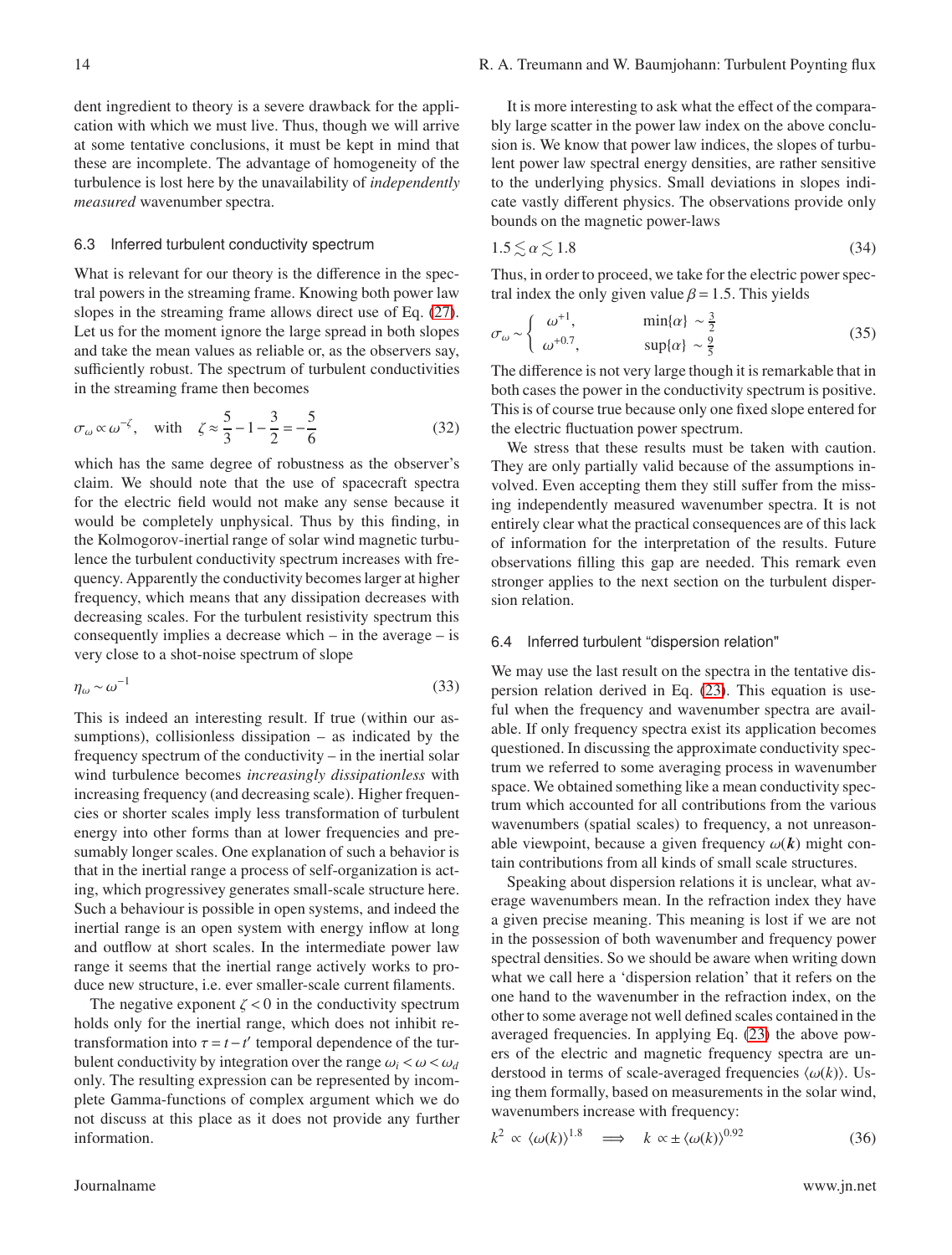cation with which we must live. Thus, though we will arrive at some tentative conclusions, it must be kept in mind that these are incomplete. The advantage of homogeneity of the turbulence is lost here by the unavailability of *independently measured* wavenumber spectra.

# 6.3 Inferred turbulent conductivity spectrum

What is relevant for our theory is the difference in the spectral powers in the streaming frame. Knowing both power law slopes in the streaming frame allows direct use of Eq. [\(27\)](#page-10-0). Let us for the moment ignore the large spread in both slopes and take the mean values as reliable or, as the observers say, sufficiently robust. The spectrum of turbulent conductivities in the streaming frame then becomes

$$
\sigma_{\omega} \propto \omega^{-\zeta}
$$
, with  $\zeta \approx \frac{5}{3} - 1 - \frac{3}{2} = -\frac{5}{6}$  (32)

which has the same degree of robustness as the observer's claim. We should note that the use of spacecraft spectra for the electric field would not make any sense because it would be completely unphysical. Thus by this finding, in the Kolmogorov-inertial range of solar wind magnetic turbulence the turbulent conductivity spectrum increases with frequency. Apparently the conductivity becomes larger at higher frequency, which means that any dissipation decreases with decreasing scales. For the turbulent resistivity spectrum this consequently implies a decrease which – in the average – is very close to a shot-noise spectrum of slope

$$
\eta_{\omega} \sim \omega^{-1} \tag{33}
$$

This is indeed an interesting result. If true (within our assumptions), collisionless dissipation – as indicated by the frequency spectrum of the conductivity – in the inertial solar wind turbulence becomes *increasingly dissipationless* with increasing frequency (and decreasing scale). Higher frequencies or shorter scales imply less transformation of turbulent energy into other forms than at lower frequencies and presumably longer scales. One explanation of such a behavior is that in the inertial range a process of self-organization is acting, which progressivey generates small-scale structure here. Such a behaviour is possible in open systems, and indeed the inertial range is an open system with energy inflow at long and outflow at short scales. In the intermediate power law range it seems that the inertial range actively works to produce new structure, i.e. ever smaller-scale current filaments.

The negative exponent  $\zeta$  < 0 in the conductivity spectrum holds only for the inertial range, which does not inhibit retransformation into  $\tau = t - t'$  temporal dependence of the turbulent conductivity by integration over the range  $\omega_i < \omega < \omega_d$ only. The resulting expression can be represented by incomplete Gamma-functions of complex argument which we do not discuss at this place as it does not provide any further information.

It is more interesting to ask what the effect of the comparably large scatter in the power law index on the above conclusion is. We know that power law indices, the slopes of turbulent power law spectral energy densities, are rather sensitive to the underlying physics. Small deviations in slopes indicate vastly different physics. The observations provide only bounds on the magnetic power-laws

$$
1.5 \lesssim \alpha \lesssim 1.8\tag{34}
$$

Thus, in order to proceed, we take for the electric power spectral index the only given value  $\beta$  = 1.5. This yields

$$
\sigma_{\omega} \sim \begin{cases}\n\omega^{+1}, & \min\{\alpha\} \sim \frac{3}{2} \\
\omega^{+0.7}, & \sup\{\alpha\} \sim \frac{9}{5}\n\end{cases}
$$
\n(35)

The difference is not very large though it is remarkable that in both cases the power in the conductivity spectrum is positive. This is of course true because only one fixed slope entered for the electric fluctuation power spectrum.

We stress that these results must be taken with caution. They are only partially valid because of the assumptions involved. Even accepting them they still suffer from the missing independently measured wavenumber spectra. It is not entirely clear what the practical consequences are of this lack of information for the interpretation of the results. Future observations filling this gap are needed. This remark even stronger applies to the next section on the turbulent dispersion relation.

#### 6.4 Inferred turbulent "dispersion relation"

We may use the last result on the spectra in the tentative dispersion relation derived in Eq. [\(23\)](#page-8-0). This equation is useful when the frequency and wavenumber spectra are available. If only frequency spectra exist its application becomes questioned. In discussing the approximate conductivity spectrum we referred to some averaging process in wavenumber space. We obtained something like a mean conductivity spectrum which accounted for all contributions from the various wavenumbers (spatial scales) to frequency, a not unreasonable viewpoint, because a given frequency  $\omega(\mathbf{k})$  might contain contributions from all kinds of small scale structures.

Speaking about dispersion relations it is unclear, what average wavenumbers mean. In the refraction index they have a given precise meaning. This meaning is lost if we are not in the possession of both wavenumber and frequency power spectral densities. So we should be aware when writing down what we call here a 'dispersion relation' that it refers on the one hand to the wavenumber in the refraction index, on the other to some average not well defined scales contained in the averaged frequencies. In applying Eq. [\(23\)](#page-8-0) the above powers of the electric and magnetic frequency spectra are understood in terms of scale-averaged frequencies  $\langle \omega(k) \rangle$ . Using them formally, based on measurements in the solar wind, wavenumbers increase with frequency:

$$
k^2 \propto \langle \omega(k) \rangle^{1.8} \implies k \propto \pm \langle \omega(k) \rangle^{0.92} \tag{36}
$$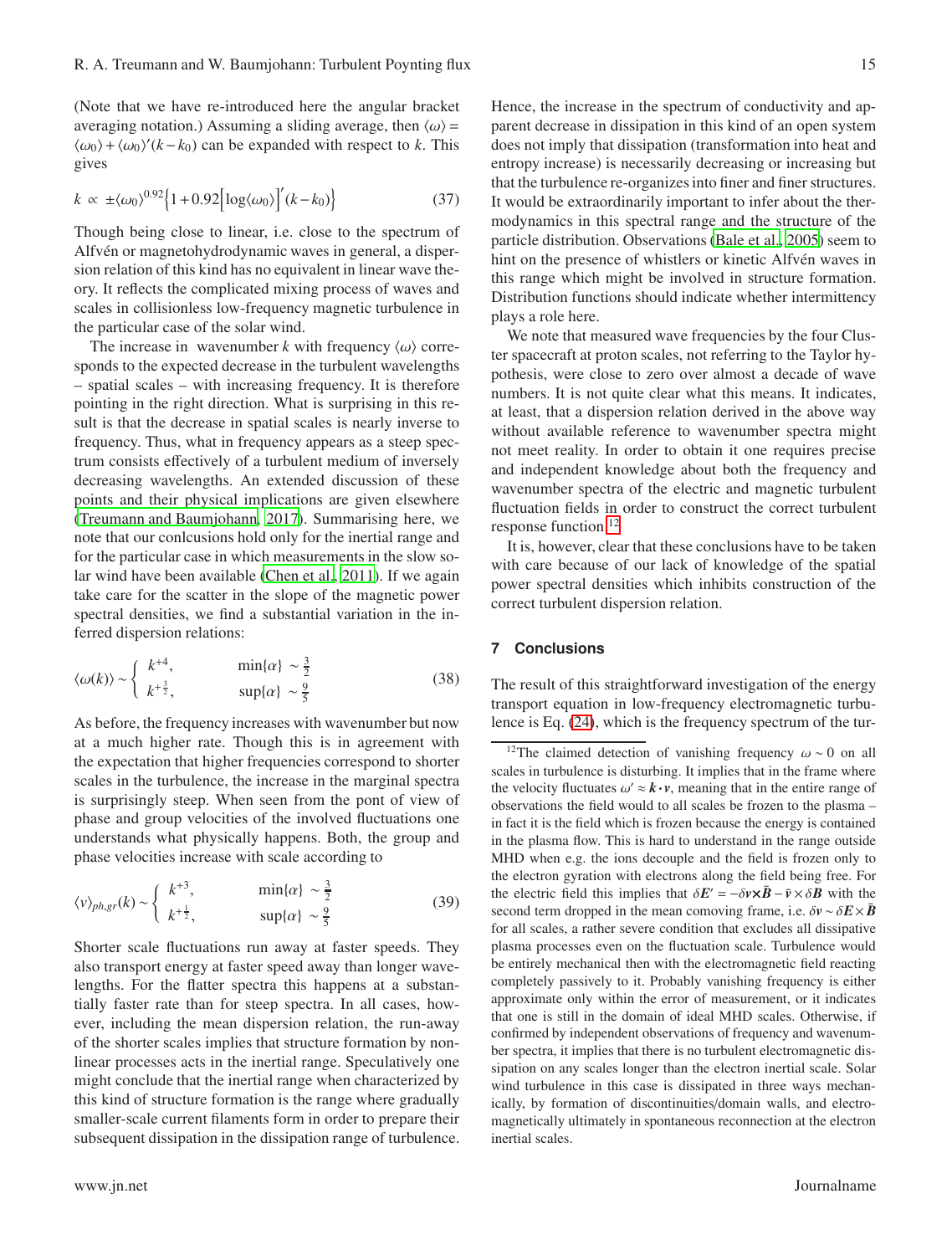(Note that we have re-introduced here the angular bracket averaging notation.) Assuming a sliding average, then  $\langle \omega \rangle$  =  $\langle \omega_0 \rangle + \langle \omega_0 \rangle' (k - k_0)$  can be expanded with respect to *k*. This gives

$$
k \propto \pm \langle \omega_0 \rangle^{0.92} \Big\{ 1 + 0.92 \Big[ \log \langle \omega_0 \rangle \Big]' (k - k_0) \Big\} \tag{37}
$$

Though being close to linear, i.e. close to the spectrum of Alfvén or magnetohydrodynamic waves in general, a dispersion relation of this kind has no equivalent in linear wave theory. It reflects the complicated mixing process of waves and scales in collisionless low-frequency magnetic turbulence in the particular case of the solar wind.

The increase in wavenumber k with frequency  $\langle \omega \rangle$  corresponds to the expected decrease in the turbulent wavelengths – spatial scales – with increasing frequency. It is therefore pointing in the right direction. What is surprising in this result is that the decrease in spatial scales is nearly inverse to frequency. Thus, what in frequency appears as a steep spectrum consists effectively of a turbulent medium of inversely decreasing wavelengths. An extended discussion of these points and their physical implications are given elsewhere [\(Treumann and Baumjohann, 2017\)](#page-17-35). Summarising here, we note that our conlcusions hold only for the inertial range and for the particular case in which measurements in the slow solar wind have been available [\(Chen et al., 2011](#page-17-25)). If we again take care for the scatter in the slope of the magnetic power spectral densities, we find a substantial variation in the inferred dispersion relations:

$$
\langle \omega(k) \rangle \sim \begin{cases} k^{+4}, & \min\{\alpha\} \sim \frac{3}{2} \\ k^{+\frac{3}{2}}, & \sup\{\alpha\} \sim \frac{9}{5} \end{cases}
$$
 (38)

As before, the frequency increases with wavenumber but now at a much higher rate. Though this is in agreement with the expectation that higher frequencies correspond to shorter scales in the turbulence, the increase in the marginal spectra is surprisingly steep. When seen from the pont of view of phase and group velocities of the involved fluctuations one understands what physically happens. Both, the group and phase velocities increase with scale according to

$$
\langle v \rangle_{ph,gr}(k) \sim \begin{cases} k^{+3}, & \min\{\alpha\} \sim \frac{3}{2} \\ k^{+\frac{1}{2}}, & \sup\{\alpha\} \sim \frac{9}{5} \end{cases}
$$
 (39)

Shorter scale fluctuations run away at faster speeds. They also transport energy at faster speed away than longer wavelengths. For the flatter spectra this happens at a substantially faster rate than for steep spectra. In all cases, however, including the mean dispersion relation, the run-away of the shorter scales implies that structure formation by nonlinear processes acts in the inertial range. Speculatively one might conclude that the inertial range when characterized by this kind of structure formation is the range where gradually smaller-scale current filaments form in order to prepare their subsequent dissipation in the dissipation range of turbulence.

www.jn.net Journalname Superior (1999) www.jn.net Journalname Superior (1999) www.jn.net Journalname

Hence, the increase in the spectrum of conductivity and apparent decrease in dissipation in this kind of an open system does not imply that dissipation (transformation into heat and entropy increase) is necessarily decreasing or increasing but that the turbulence re-organizes into finer and finer structures. It would be extraordinarily important to infer about the thermodynamics in this spectral range and the structure of the particle distribution. Observations [\(Bale et al., 2005\)](#page-16-1) seem to hint on the presence of whistlers or kinetic Alfvén waves in this range which might be involved in structure formation. Distribution functions should indicate whether intermittency plays a role here.

We note that measured wave frequencies by the four Cluster spacecraft at proton scales, not referring to the Taylor hypothesis, were close to zero over almost a decade of wave numbers. It is not quite clear what this means. It indicates, at least, that a dispersion relation derived in the above way without available reference to wavenumber spectra might not meet reality. In order to obtain it one requires precise and independent knowledge about both the frequency and wavenumber spectra of the electric and magnetic turbulent fluctuation fields in order to construct the correct turbulent response function.[12](#page-14-0)

It is, however, clear that these conclusions have to be taken with care because of our lack of knowledge of the spatial power spectral densities which inhibits construction of the correct turbulent dispersion relation.

# **7 Conclusions**

The result of this straightforward investigation of the energy transport equation in low-frequency electromagnetic turbulence is Eq. [\(24\)](#page-8-1), which is the frequency spectrum of the tur-

<span id="page-14-0"></span><sup>&</sup>lt;sup>12</sup>The claimed detection of vanishing frequency  $\omega \sim 0$  on all scales in turbulence is disturbing. It implies that in the frame where the velocity fluctuates  $\omega' \approx \mathbf{k} \cdot \mathbf{v}$ , meaning that in the entire range of observations the field would to all scales be frozen to the plasma – in fact it is the field which is frozen because the energy is contained in the plasma flow. This is hard to understand in the range outside MHD when e.g. the ions decouple and the field is frozen only to the electron gyration with electrons along the field being free. For the electric field this implies that  $\delta E' = -\delta v \times \bar{B} - \bar{v} \times \delta B$  with the second term dropped in the mean comoving frame, i.e.  $\delta v \sim \delta E \times \bar{B}$ for all scales, a rather severe condition that excludes all dissipative plasma processes even on the fluctuation scale. Turbulence would be entirely mechanical then with the electromagnetic field reacting completely passively to it. Probably vanishing frequency is either approximate only within the error of measurement, or it indicates that one is still in the domain of ideal MHD scales. Otherwise, if confirmed by independent observations of frequency and wavenumber spectra, it implies that there is no turbulent electromagnetic dissipation on any scales longer than the electron inertial scale. Solar wind turbulence in this case is dissipated in three ways mechanically, by formation of discontinuities/domain walls, and electromagnetically ultimately in spontaneous reconnection at the electron inertial scales.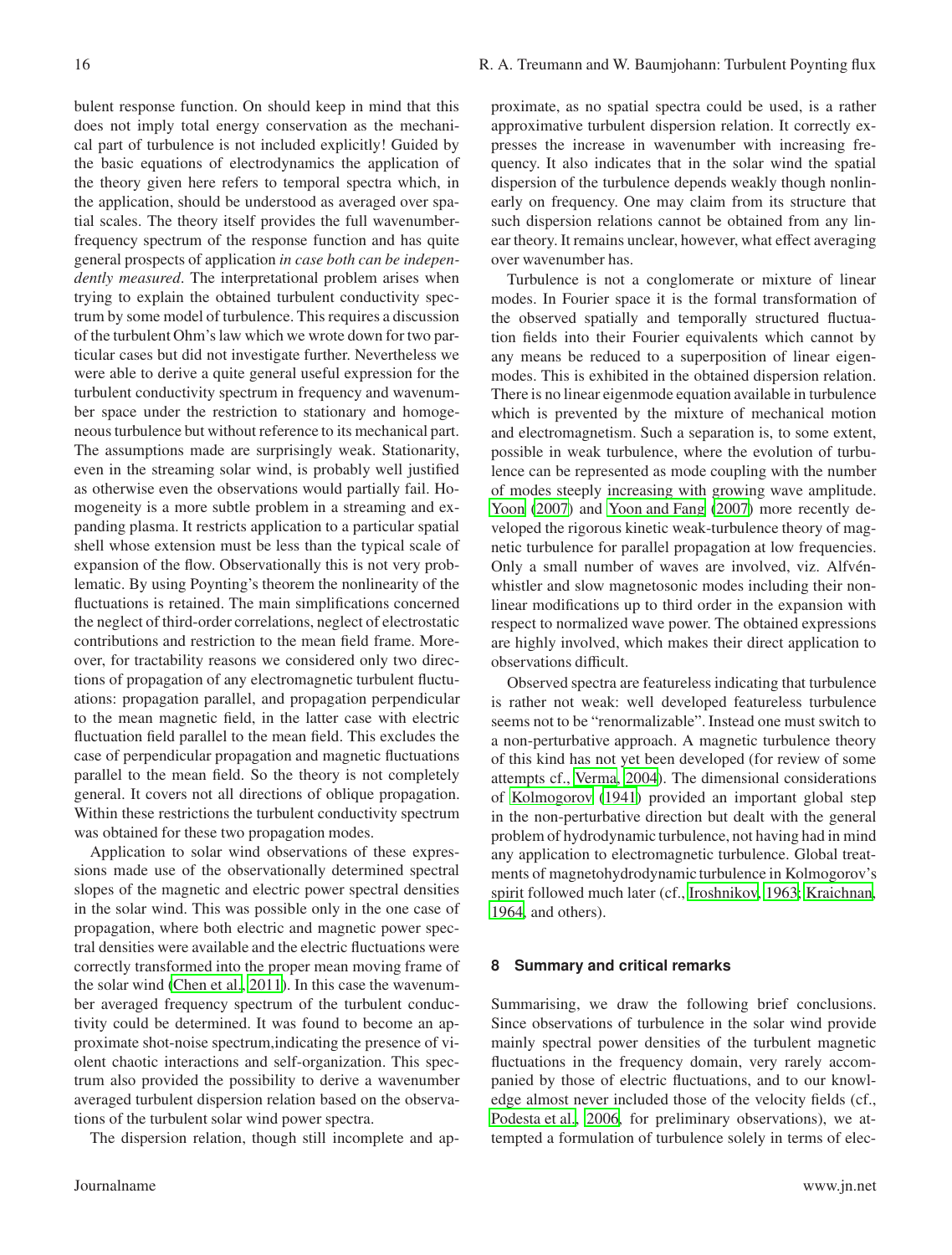bulent response function. On should keep in mind that this does not imply total energy conservation as the mechanical part of turbulence is not included explicitly! Guided by the basic equations of electrodynamics the application of the theory given here refers to temporal spectra which, in the application, should be understood as averaged over spatial scales. The theory itself provides the full wavenumberfrequency spectrum of the response function and has quite general prospects of application *in case both can be independently measured*. The interpretational problem arises when trying to explain the obtained turbulent conductivity spectrum by some model of turbulence. This requires a discussion of the turbulent Ohm's law which we wrote down for two particular cases but did not investigate further. Nevertheless we were able to derive a quite general useful expression for the turbulent conductivity spectrum in frequency and wavenumber space under the restriction to stationary and homogeneous turbulence but without reference to its mechanical part. The assumptions made are surprisingly weak. Stationarity, even in the streaming solar wind, is probably well justified as otherwise even the observations would partially fail. Homogeneity is a more subtle problem in a streaming and expanding plasma. It restricts application to a particular spatial shell whose extension must be less than the typical scale of expansion of the flow. Observationally this is not very problematic. By using Poynting's theorem the nonlinearity of the fluctuations is retained. The main simplifications concerned the neglect of third-order correlations, neglect of electrostatic contributions and restriction to the mean field frame. Moreover, for tractability reasons we considered only two directions of propagation of any electromagnetic turbulent fluctuations: propagation parallel, and propagation perpendicular to the mean magnetic field, in the latter case with electric fluctuation field parallel to the mean field. This excludes the case of perpendicular propagation and magnetic fluctuations parallel to the mean field. So the theory is not completely general. It covers not all directions of oblique propagation. Within these restrictions the turbulent conductivity spectrum was obtained for these two propagation modes.

Application to solar wind observations of these expressions made use of the observationally determined spectral slopes of the magnetic and electric power spectral densities in the solar wind. This was possible only in the one case of propagation, where both electric and magnetic power spectral densities were available and the electric fluctuations were correctly transformed into the proper mean moving frame of the solar wind [\(Chen et al.](#page-17-25), [2011](#page-17-25)). In this case the wavenumber averaged frequency spectrum of the turbulent conductivity could be determined. It was found to become an approximate shot-noise spectrum,indicating the presence of violent chaotic interactions and self-organization. This spectrum also provided the possibility to derive a wavenumber averaged turbulent dispersion relation based on the observations of the turbulent solar wind power spectra.

The dispersion relation, though still incomplete and ap-

proximate, as no spatial spectra could be used, is a rather approximative turbulent dispersion relation. It correctly expresses the increase in wavenumber with increasing frequency. It also indicates that in the solar wind the spatial dispersion of the turbulence depends weakly though nonlinearly on frequency. One may claim from its structure that such dispersion relations cannot be obtained from any linear theory. It remains unclear, however, what effect averaging over wavenumber has.

Turbulence is not a conglomerate or mixture of linear modes. In Fourier space it is the formal transformation of the observed spatially and temporally structured fluctuation fields into their Fourier equivalents which cannot by any means be reduced to a superposition of linear eigenmodes. This is exhibited in the obtained dispersion relation. There is no linear eigenmode equation available in turbulence which is prevented by the mixture of mechanical motion and electromagnetism. Such a separation is, to some extent, possible in weak turbulence, where the evolution of turbulence can be represented as mode coupling with the number of modes steeply increasing with growing wave amplitude. [Yoon](#page-17-14) [\(2007\)](#page-17-14) and [Yoon and Fang \(2007](#page-17-15)) more recently developed the rigorous kinetic weak-turbulence theory of magnetic turbulence for parallel propagation at low frequencies. Only a small number of waves are involved, viz. Alfvénwhistler and slow magnetosonic modes including their nonlinear modifications up to third order in the expansion with respect to normalized wave power. The obtained expressions are highly involved, which makes their direct application to observations difficult.

Observed spectra are featureless indicating that turbulence is rather not weak: well developed featureless turbulence seems not to be "renormalizable". Instead one must switch to a non-perturbative approach. A magnetic turbulence theory of this kind has not yet been developed (for review of some attempts cf., [Verma, 2004\)](#page-17-22). The dimensional considerations of [Kolmogorov \(1941](#page-17-17)) provided an important global step in the non-perturbative direction but dealt with the general problem of hydrodynamic turbulence, not having had in mind any application to electromagnetic turbulence. Global treatments of magnetohydrodynamic turbulence in Kolmogorov's spirit followed much later (cf., [Iroshnikov](#page-17-20), [1963;](#page-17-20) [Kraichnan,](#page-17-21) [1964](#page-17-21), and others).

# **8 Summary and critical remarks**

Summarising, we draw the following brief conclusions. Since observations of turbulence in the solar wind provide mainly spectral power densities of the turbulent magnetic fluctuations in the frequency domain, very rarely accompanied by those of electric fluctuations, and to our knowledge almost never included those of the velocity fields (cf., [Podesta et al.](#page-17-36), [2006,](#page-17-36) for preliminary observations), we attempted a formulation of turbulence solely in terms of elec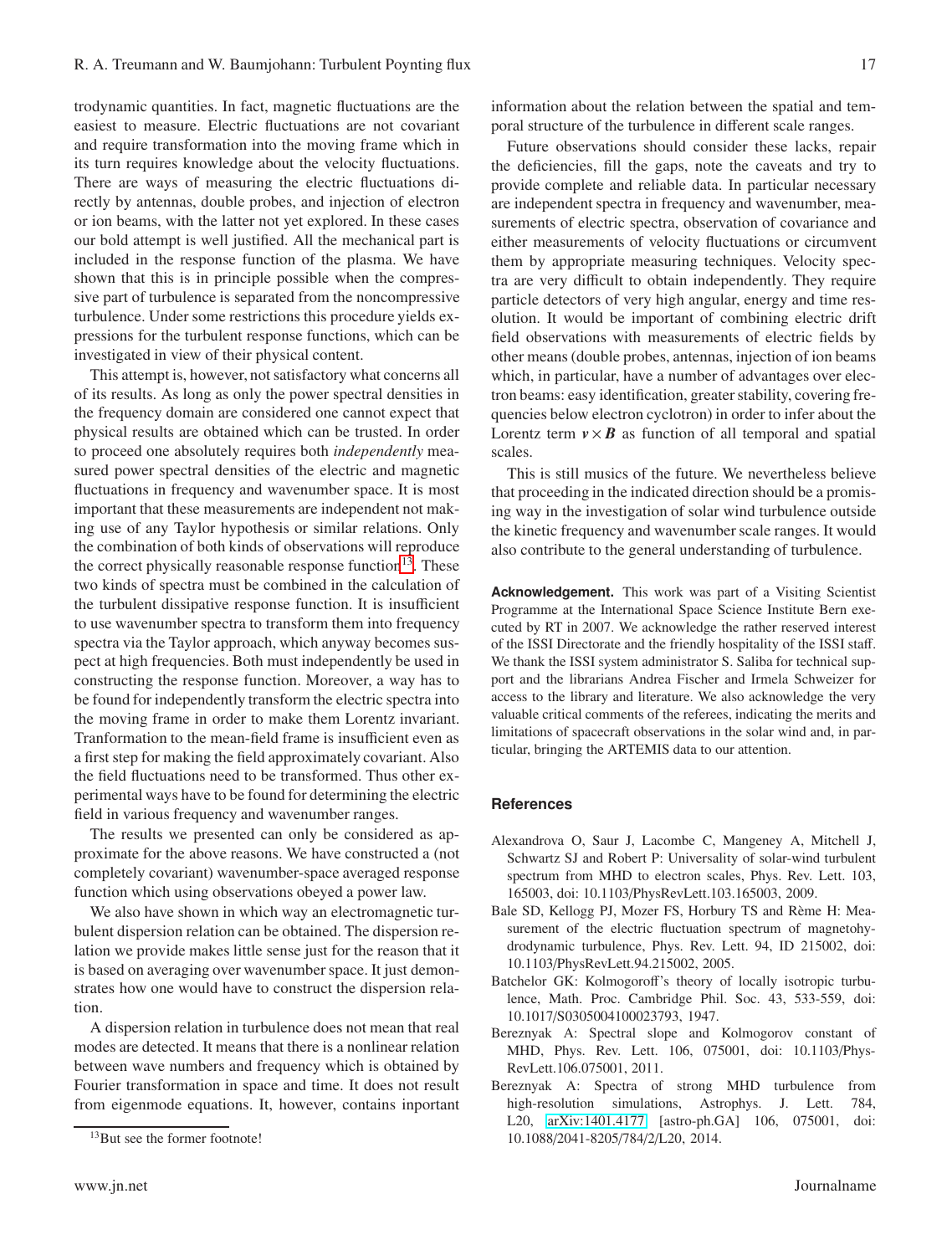trodynamic quantities. In fact, magnetic fluctuations are the easiest to measure. Electric fluctuations are not covariant and require transformation into the moving frame which in its turn requires knowledge about the velocity fluctuations. There are ways of measuring the electric fluctuations directly by antennas, double probes, and injection of electron or ion beams, with the latter not yet explored. In these cases our bold attempt is well justified. All the mechanical part is included in the response function of the plasma. We have shown that this is in principle possible when the compressive part of turbulence is separated from the noncompressive turbulence. Under some restrictions this procedure yields expressions for the turbulent response functions, which can be investigated in view of their physical content.

This attempt is, however, not satisfactory what concerns all of its results. As long as only the power spectral densities in the frequency domain are considered one cannot expect that physical results are obtained which can be trusted. In order to proceed one absolutely requires both *independently* measured power spectral densities of the electric and magnetic fluctuations in frequency and wavenumber space. It is most important that these measurements are independent not making use of any Taylor hypothesis or similar relations. Only the combination of both kinds of observations will reproduce the correct physically reasonable response function $13$ . These two kinds of spectra must be combined in the calculation of the turbulent dissipative response function. It is insufficient to use wavenumber spectra to transform them into frequency spectra via the Taylor approach, which anyway becomes suspect at high frequencies. Both must independently be used in constructing the response function. Moreover, a way has to be found for independently transform the electric spectra into the moving frame in order to make them Lorentz invariant. Tranformation to the mean-field frame is insufficient even as a first step for making the field approximately covariant. Also the field fluctuations need to be transformed. Thus other experimental ways have to be found for determining the electric field in various frequency and wavenumber ranges.

The results we presented can only be considered as approximate for the above reasons. We have constructed a (not completely covariant) wavenumber-space averaged response function which using observations obeyed a power law.

We also have shown in which way an electromagnetic turbulent dispersion relation can be obtained. The dispersion relation we provide makes little sense just for the reason that it is based on averaging over wavenumber space. It just demonstrates how one would have to construct the dispersion relation.

A dispersion relation in turbulence does not mean that real modes are detected. It means that there is a nonlinear relation between wave numbers and frequency which is obtained by Fourier transformation in space and time. It does not result from eigenmode equations. It, however, contains inportant information about the relation between the spatial and temporal structure of the turbulence in different scale ranges.

Future observations should consider these lacks, repair the deficiencies, fill the gaps, note the caveats and try to provide complete and reliable data. In particular necessary are independent spectra in frequency and wavenumber, measurements of electric spectra, observation of covariance and either measurements of velocity fluctuations or circumvent them by appropriate measuring techniques. Velocity spectra are very difficult to obtain independently. They require particle detectors of very high angular, energy and time resolution. It would be important of combining electric drift field observations with measurements of electric fields by other means (double probes, antennas, injection of ion beams which, in particular, have a number of advantages over electron beams: easy identification, greater stability, covering frequencies below electron cyclotron) in order to infer about the Lorentz term  $v \times B$  as function of all temporal and spatial scales.

This is still musics of the future. We nevertheless believe that proceeding in the indicated direction should be a promising way in the investigation of solar wind turbulence outside the kinetic frequency and wavenumber scale ranges. It would also contribute to the general understanding of turbulence.

**Acknowledgement.** This work was part of a Visiting Scientist Programme at the International Space Science Institute Bern executed by RT in 2007. We acknowledge the rather reserved interest of the ISSI Directorate and the friendly hospitality of the ISSI staff. We thank the ISSI system administrator S. Saliba for technical support and the librarians Andrea Fischer and Irmela Schweizer for access to the library and literature. We also acknowledge the very valuable critical comments of the referees, indicating the merits and limitations of spacecraft observations in the solar wind and, in particular, bringing the ARTEMIS data to our attention.

## **References**

- <span id="page-16-2"></span>Alexandrova O, Saur J, Lacombe C, Mangeney A, Mitchell J, Schwartz SJ and Robert P: Universality of solar-wind turbulent spectrum from MHD to electron scales, Phys. Rev. Lett. 103, 165003, doi: 10.1103/PhysRevLett.103.165003, 2009.
- <span id="page-16-1"></span>Bale SD, Kellogg PJ, Mozer FS, Horbury TS and Rème H: Measurement of the electric fluctuation spectrum of magnetohydrodynamic turbulence, Phys. Rev. Lett. 94, ID 215002, doi: 10.1103/PhysRevLett.94.215002, 2005.
- <span id="page-16-0"></span>Batchelor GK: Kolmogoroff's theory of locally isotropic turbulence, Math. Proc. Cambridge Phil. Soc. 43, 533-559, doi: 10.1017/S0305004100023793, 1947.
- <span id="page-16-3"></span>Bereznyak A: Spectral slope and Kolmogorov constant of MHD, Phys. Rev. Lett. 106, 075001, doi: 10.1103/Phys-RevLett.106.075001, 2011.
- <span id="page-16-4"></span>Bereznyak A: Spectra of strong MHD turbulence from high-resolution simulations, Astrophys. J. Lett. 784, L20, [arXiv:1401.4177](http://arxiv.org/abs/1401.4177) [astro-ph.GA] 106, 075001, doi: 10.1088/2041-8205/784/2/L20, 2014.

<span id="page-16-5"></span><sup>&</sup>lt;sup>13</sup>But see the former footnote!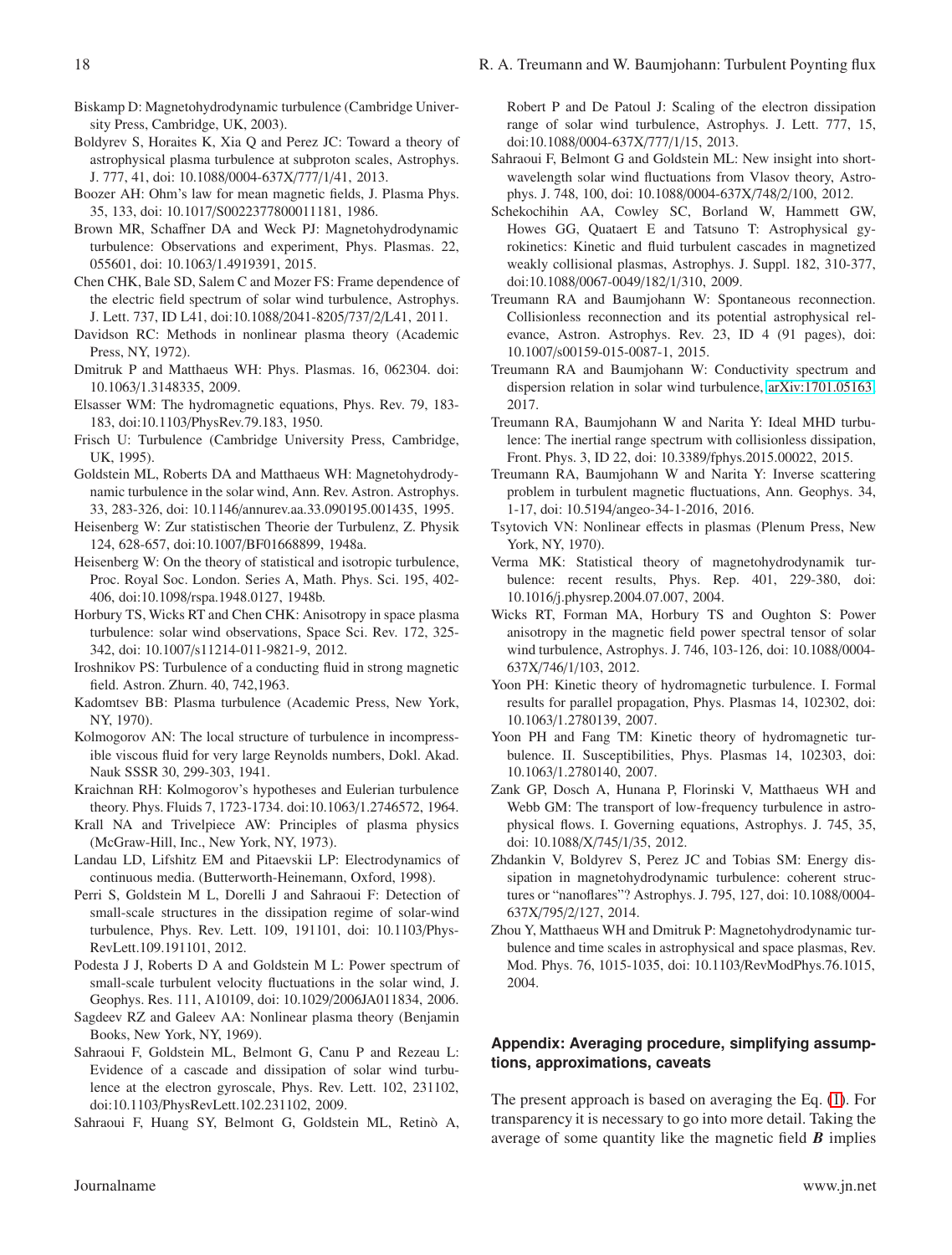- <span id="page-17-7"></span>Biskamp D: Magnetohydrodynamic turbulence (Cambridge University Press, Cambridge, UK, 2003).
- <span id="page-17-4"></span>Boldyrev S, Horaites K, Xia Q and Perez JC: Toward a theory of astrophysical plasma turbulence at subproton scales, Astrophys. J. 777, 41, doi: 10.1088/0004-637X/777/1/41, 2013.
- <span id="page-17-29"></span>Boozer AH: Ohm's law for mean magnetic fields, J. Plasma Phys. 35, 133, doi: 10.1017/S0022377800011181, 1986.
- <span id="page-17-28"></span>Brown MR, Schaffner DA and Weck PJ: Magnetohydrodynamic turbulence: Observations and experiment, Phys. Plasmas. 22, 055601, doi: 10.1063/1.4919391, 2015.
- <span id="page-17-25"></span>Chen CHK, Bale SD, Salem C and Mozer FS: Frame dependence of the electric field spectrum of solar wind turbulence, Astrophys. J. Lett. 737, ID L41, doi:10.1088/2041-8205/737/2/L41, 2011.
- <span id="page-17-9"></span>Davidson RC: Methods in nonlinear plasma theory (Academic Press, NY, 1972).
- <span id="page-17-2"></span>Dmitruk P and Matthaeus WH: Phys. Plasmas. 16, 062304. doi: 10.1063/1.3148335, 2009.
- <span id="page-17-13"></span>Elsasser WM: The hydromagnetic equations, Phys. Rev. 79, 183- 183, doi:10.1103/PhysRev.79.183, 1950.
- <span id="page-17-8"></span>Frisch U: Turbulence (Cambridge University Press, Cambridge, UK, 1995).
- <span id="page-17-0"></span>Goldstein ML, Roberts DA and Matthaeus WH: Magnetohydrodynamic turbulence in the solar wind, Ann. Rev. Astron. Astrophys. 33, 283-326, doi: 10.1146/annurev.aa.33.090195.001435, 1995.
- <span id="page-17-18"></span>Heisenberg W: Zur statistischen Theorie der Turbulenz, Z. Physik 124, 628-657, doi:10.1007/BF01668899, 1948a.
- <span id="page-17-19"></span>Heisenberg W: On the theory of statistical and isotropic turbulence, Proc. Royal Soc. London. Series A, Math. Phys. Sci. 195, 402- 406, doi:10.1098/rspa.1948.0127, 1948b.
- <span id="page-17-27"></span>Horbury TS, Wicks RT and Chen CHK: Anisotropy in space plasma turbulence: solar wind observations, Space Sci. Rev. 172, 325- 342, doi: 10.1007/s11214-011-9821-9, 2012.
- <span id="page-17-20"></span>Iroshnikov PS: Turbulence of a conducting fluid in strong magnetic field. Astron. Zhurn. 40, 742,1963.
- <span id="page-17-10"></span>Kadomtsev BB: Plasma turbulence (Academic Press, New York, NY, 1970).
- <span id="page-17-17"></span>Kolmogorov AN: The local structure of turbulence in incompressible viscous fluid for very large Reynolds numbers, Dokl. Akad. Nauk SSSR 30, 299-303, 1941.
- <span id="page-17-21"></span>Kraichnan RH: Kolmogorov's hypotheses and Eulerian turbulence theory. Phys. Fluids 7, 1723-1734. doi:10.1063/1.2746572, 1964.
- <span id="page-17-31"></span>Krall NA and Trivelpiece AW: Principles of plasma physics (McGraw-Hill, Inc., New York, NY, 1973).
- <span id="page-17-30"></span>Landau LD, Lifshitz EM and Pitaevskii LP: Electrodynamics of continuous media. (Butterworth-Heinemann, Oxford, 1998).
- <span id="page-17-32"></span>Perri S, Goldstein M L, Dorelli J and Sahraoui F: Detection of small-scale structures in the dissipation regime of solar-wind turbulence, Phys. Rev. Lett. 109, 191101, doi: 10.1103/Phys-RevLett.109.191101, 2012.
- <span id="page-17-36"></span>Podesta J J, Roberts D A and Goldstein M L: Power spectrum of small-scale turbulent velocity fluctuations in the solar wind, J. Geophys. Res. 111, A10109, doi: 10.1029/2006JA011834, 2006.
- <span id="page-17-12"></span>Sagdeev RZ and Galeev AA: Nonlinear plasma theory (Benjamin Books, New York, NY, 1969).
- <span id="page-17-23"></span>Sahraoui F, Goldstein ML, Belmont G, Canu P and Rezeau L: Evidence of a cascade and dissipation of solar wind turbulence at the electron gyroscale, Phys. Rev. Lett. 102, 231102, doi:10.1103/PhysRevLett.102.231102, 2009.
- <span id="page-17-24"></span>Sahraoui F, Huang SY, Belmont G, Goldstein ML, Retinò A,

Robert P and De Patoul J: Scaling of the electron dissipation range of solar wind turbulence, Astrophys. J. Lett. 777, 15, doi:10.1088/0004-637X/777/1/15, 2013.

- <span id="page-17-6"></span>Sahraoui F, Belmont G and Goldstein ML: New insight into shortwavelength solar wind fluctuations from Vlasov theory, Astrophys. J. 748, 100, doi: 10.1088/0004-637X/748/2/100, 2012.
- <span id="page-17-3"></span>Schekochihin AA, Cowley SC, Borland W, Hammett GW, Howes GG, Quataert E and Tatsuno T: Astrophysical gyrokinetics: Kinetic and fluid turbulent cascades in magnetized weakly collisional plasmas, Astrophys. J. Suppl. 182, 310-377, doi:10.1088/0067-0049/182/1/310, 2009.
- <span id="page-17-16"></span>Treumann RA and Baumjohann W: Spontaneous reconnection. Collisionless reconnection and its potential astrophysical relevance, Astron. Astrophys. Rev. 23, ID 4 (91 pages), doi: 10.1007/s00159-015-0087-1, 2015.
- <span id="page-17-35"></span>Treumann RA and Baumjohann W: Conductivity spectrum and dispersion relation in solar wind turbulence, [arXiv:1701.05163,](http://arxiv.org/abs/1701.05163) 2017.
- Treumann RA, Baumjohann W and Narita Y: Ideal MHD turbulence: The inertial range spectrum with collisionless dissipation, Front. Phys. 3, ID 22, doi: 10.3389/fphys.2015.00022, 2015.
- <span id="page-17-34"></span>Treumann RA, Baumjohann W and Narita Y: Inverse scattering problem in turbulent magnetic fluctuations, Ann. Geophys. 34, 1-17, doi: 10.5194/angeo-34-1-2016, 2016.
- <span id="page-17-11"></span>Tsytovich VN: Nonlinear effects in plasmas (Plenum Press, New York, NY, 1970).
- <span id="page-17-22"></span>Verma MK: Statistical theory of magnetohydrodynamik turbulence: recent results, Phys. Rep. 401, 229-380, doi: 10.1016/j.physrep.2004.07.007, 2004.
- <span id="page-17-26"></span>Wicks RT, Forman MA, Horbury TS and Oughton S: Power anisotropy in the magnetic field power spectral tensor of solar wind turbulence, Astrophys. J. 746, 103-126, doi: 10.1088/0004- 637X/746/1/103, 2012.
- <span id="page-17-14"></span>Yoon PH: Kinetic theory of hydromagnetic turbulence. I. Formal results for parallel propagation, Phys. Plasmas 14, 102302, doi: 10.1063/1.2780139, 2007.
- <span id="page-17-15"></span>Yoon PH and Fang TM: Kinetic theory of hydromagnetic turbulence. II. Susceptibilities, Phys. Plasmas 14, 102303, doi: 10.1063/1.2780140, 2007.
- <span id="page-17-5"></span>Zank GP, Dosch A, Hunana P, Florinski V, Matthaeus WH and Webb GM: The transport of low-frequency turbulence in astrophysical flows. I. Governing equations, Astrophys. J. 745, 35, doi: 10.1088/X/745/1/35, 2012.
- <span id="page-17-33"></span>Zhdankin V, Boldyrev S, Perez JC and Tobias SM: Energy dissipation in magnetohydrodynamic turbulence: coherent structures or "nanoflares"? Astrophys. J. 795, 127, doi: 10.1088/0004- 637X/795/2/127, 2014.
- <span id="page-17-1"></span>Zhou Y, Matthaeus WH and Dmitruk P: Magnetohydrodynamic turbulence and time scales in astrophysical and space plasmas, Rev. Mod. Phys. 76, 1015-1035, doi: 10.1103/RevModPhys.76.1015, 2004.

# **Appendix: Averaging procedure, simplifying assumptions, approximations, caveats**

The present approach is based on averaging the Eq. [\(1\)](#page-3-2). For transparency it is necessary to go into more detail. Taking the average of some quantity like the magnetic field *B* implies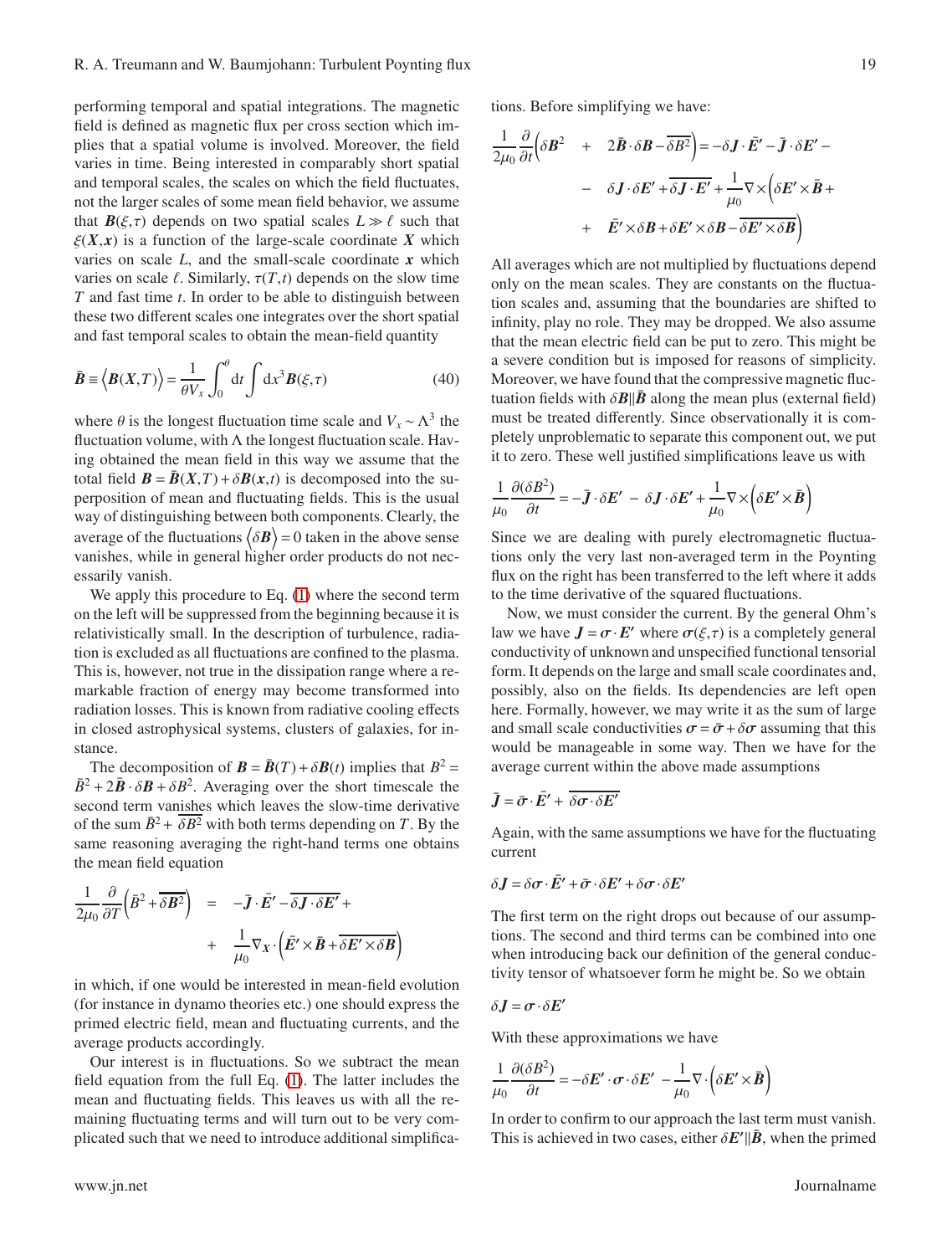performing temporal and spatial integrations. The magnetic field is defined as magnetic flux per cross section which implies that a spatial volume is involved. Moreover, the field varies in time. Being interested in comparably short spatial and temporal scales, the scales on which the field fluctuates, not the larger scales of some mean field behavior, we assume that  $\mathbf{B}(\xi,\tau)$  depends on two spatial scales  $L \gg \ell$  such that  $\xi(X, x)$  is a function of the large-scale coordinate X which varies on scale *L*, and the small-scale coordinate *x* which varies on scale  $\ell$ . Similarly,  $\tau(T,t)$  depends on the slow time *T* and fast time *t*. In order to be able to distinguish between these two different scales one integrates over the short spatial and fast temporal scales to obtain the mean-field quantity

$$
\bar{\boldsymbol{B}} \equiv \left\langle \boldsymbol{B}(X,T) \right\rangle = \frac{1}{\theta V_x} \int_0^{\theta} dt \int dx^3 \boldsymbol{B}(\xi,\tau) \tag{40}
$$

where  $\theta$  is the longest fluctuation time scale and  $V_x \sim \Lambda^3$  the fluctuation volume, with  $\Lambda$  the longest fluctuation scale. Having obtained the mean field in this way we assume that the total field  $\mathbf{B} = \mathbf{B}(X,T) + \delta \mathbf{B}(x,t)$  is decomposed into the superposition of mean and fluctuating fields. This is the usual way of distinguishing between both components. Clearly, the average of the fluctuations  $\langle \delta \bm{B} \rangle = 0$  taken in the above sense vanishes, while in general higher order products do not necessarily vanish.

We apply this procedure to Eq.  $(1)$  where the second term on the left will be suppressed from the beginning because it is relativistically small. In the description of turbulence, radiation is excluded as all fluctuations are confined to the plasma. This is, however, not true in the dissipation range where a remarkable fraction of energy may become transformed into radiation losses. This is known from radiative cooling effects in closed astrophysical systems, clusters of galaxies, for instance.

The decomposition of  $\mathbf{B} = \bar{\mathbf{B}}(T) + \delta \mathbf{B}(t)$  implies that  $B^2 =$  $\bar{B}^2 + 2\bar{B} \cdot \delta \mathbf{B} + \delta B^2$ . Averaging over the short timescale the second term vanishes which leaves the slow-time derivative of the sum  $\bar{B}^2 + \overline{\delta B^2}$  with both terms depending on *T*. By the same reasoning averaging the right-hand terms one obtains the mean field equation

$$
\frac{1}{2\mu_0} \frac{\partial}{\partial T} \left( \vec{B}^2 + \overline{\delta \mathbf{B}^2} \right) = -\overline{\mathbf{J}} \cdot \overline{\mathbf{E}}' - \overline{\delta \mathbf{J} \cdot \delta \mathbf{E}'} + \\ + \frac{1}{\mu_0} \nabla_X \cdot \left( \overline{\mathbf{E}}' \times \overline{\mathbf{B}} + \overline{\delta \mathbf{E}' \times \delta \mathbf{B}} \right)
$$

in which, if one would be interested in mean-field evolution (for instance in dynamo theories etc.) one should express the primed electric field, mean and fluctuating currents, and the average products accordingly.

Our interest is in fluctuations. So we subtract the mean field equation from the full Eq. [\(1\)](#page-3-2). The latter includes the mean and fluctuating fields. This leaves us with all the remaining fluctuating terms and will turn out to be very complicated such that we need to introduce additional simplifications. Before simplifying we have:

$$
\frac{1}{2\mu_0} \frac{\partial}{\partial t} \left( \delta \vec{B}^2 + 2\vec{B} \cdot \delta \vec{B} - \overline{\delta B^2} \right) = -\delta \vec{J} \cdot \vec{E}' - \vec{J} \cdot \delta \vec{E}' -
$$

$$
- \delta \vec{J} \cdot \delta \vec{E}' + \overline{\delta \vec{J} \cdot \vec{E}'} + \frac{1}{\mu_0} \nabla \times \left( \delta \vec{E}' \times \vec{B} + \vec{E}' \times \delta \vec{B} + \delta \vec{E}' \times \delta \vec{B} - \overline{\delta \vec{E}' \times \delta \vec{B}} \right)
$$

All averages which are not multiplied by fluctuations depend only on the mean scales. They are constants on the fluctuation scales and, assuming that the boundaries are shifted to infinity, play no role. They may be dropped. We also assume that the mean electric field can be put to zero. This might be a severe condition but is imposed for reasons of simplicity. Moreover, we have found that the compressive magnetic fluctuation fields with  $\delta$ **B**||**B** along the mean plus (external field) must be treated differently. Since observationally it is completely unproblematic to separate this component out, we put it to zero. These well justified simplifications leave us with

$$
\frac{1}{\mu_0} \frac{\partial (\delta B^2)}{\partial t} = -\bar{\boldsymbol{J}} \cdot \delta \boldsymbol{E}' - \delta \boldsymbol{J} \cdot \delta \boldsymbol{E}' + \frac{1}{\mu_0} \nabla \times (\delta \boldsymbol{E}' \times \bar{\boldsymbol{B}})
$$

Since we are dealing with purely electromagnetic fluctuations only the very last non-averaged term in the Poynting flux on the right has been transferred to the left where it adds to the time derivative of the squared fluctuations.

Now, we must consider the current. By the general Ohm's law we have  $J = \sigma \cdot E'$  where  $\sigma(\xi, \tau)$  is a completely general conductivity of unknown and unspecified functional tensorial form. It depends on the large and small scale coordinates and, possibly, also on the fields. Its dependencies are left open here. Formally, however, we may write it as the sum of large and small scale conductivities  $\sigma = \bar{\sigma} + \delta \sigma$  assuming that this would be manageable in some way. Then we have for the average current within the above made assumptions

$$
\bar{\boldsymbol{J}} = \bar{\boldsymbol{\sigma}} \cdot \bar{\boldsymbol{E}}' + \overline{\delta \boldsymbol{\sigma} \cdot \delta \boldsymbol{E}'}
$$

Again, with the same assumptions we have for the fluctuating current

$$
\delta \mathbf{J} = \delta \boldsymbol{\sigma} \cdot \boldsymbol{\bar{E}'} + \boldsymbol{\bar{\sigma}} \cdot \delta \boldsymbol{E'} + \delta \boldsymbol{\sigma} \cdot \delta \boldsymbol{E'}
$$

The first term on the right drops out because of our assumptions. The second and third terms can be combined into one when introducing back our definition of the general conductivity tensor of whatsoever form he might be. So we obtain

$$
\delta \bm{J} = \bm{\sigma}\!\cdot\!\delta \bm{E}'
$$

With these approximations we have

$$
\frac{1}{\mu_0} \frac{\partial (\delta B^2)}{\partial t} = -\delta E' \cdot \boldsymbol{\sigma} \cdot \delta E' - \frac{1}{\mu_0} \nabla \cdot (\delta E' \times \bar{B})
$$

In order to confirm to our approach the last term must vanish. This is achieved in two cases, either  $\delta E' || \bar{B}$ , when the primed